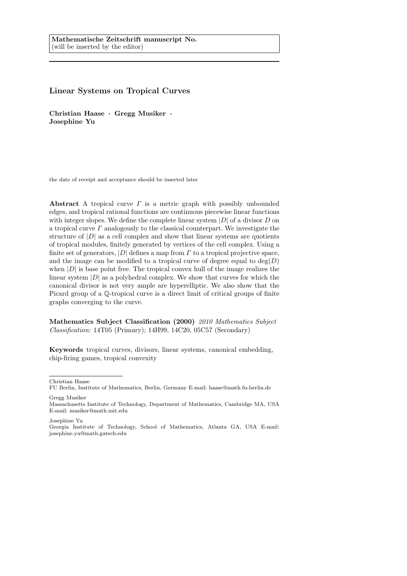# Linear Systems on Tropical Curves

Christian Haase · Gregg Musiker · Josephine Yu

the date of receipt and acceptance should be inserted later

Abstract A tropical curve  $\Gamma$  is a metric graph with possibly unbounded edges, and tropical rational functions are continuous piecewise linear functions with integer slopes. We define the complete linear system  $|D|$  of a divisor  $D$  on a tropical curve  $\Gamma$  analogously to the classical counterpart. We investigate the structure of  $|D|$  as a cell complex and show that linear systems are quotients of tropical modules, finitely generated by vertices of the cell complex. Using a finite set of generators,  $|D|$  defines a map from  $\Gamma$  to a tropical projective space, and the image can be modified to a tropical curve of degree equal to  $\deg(D)$ when  $|D|$  is base point free. The tropical convex hull of the image realizes the linear system  $|D|$  as a polyhedral complex. We show that curves for which the canonical divisor is not very ample are hyperelliptic. We also show that the Picard group of a Q-tropical curve is a direct limit of critical groups of finite graphs converging to the curve.

Mathematics Subject Classification (2000) 2010 Mathematics Subject Classification: 14T05 (Primary); 14H99, 14C20, 05C57 (Secondary)

Keywords tropical curves, divisors, linear systems, canonical embedding, chip-firing games, tropical convexity

Christian Haase

Gregg Musiker

Josephine Yu

FU Berlin, Institute of Mathematics, Berlin, Germany E-mail: haase@math.fu-berlin.de

Massachusetts Institute of Technology, Department of Mathematics, Cambridge MA, USA E-mail: musiker@math.mit.edu

Georgia Institute of Technology, School of Mathematics, Atlanta GA, USA E-mail: josephine.yu@math.gatech.edu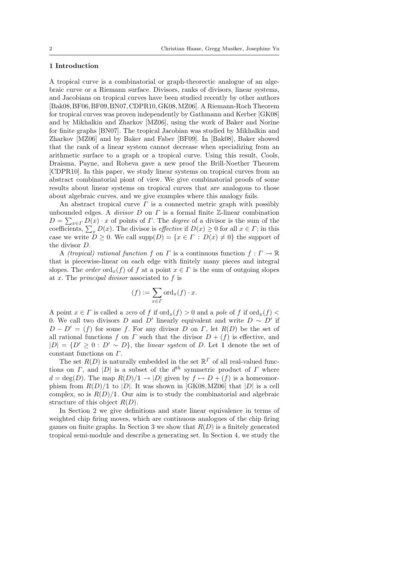## 1 Introduction

A tropical curve is a combinatorial or graph-theorectic analogue of an algebraic curve or a Riemann surface. Divisors, ranks of divisors, linear systems, and Jacobians on tropical curves have been studied recently by other authors [Bak08,BF06,BF09,BN07,CDPR10,GK08,MZ06]. A Riemann-Roch Theorem for tropical curves was proven independently by Gathmann and Kerber [GK08] and by Mikhalkin and Zharkov [MZ06], using the work of Baker and Norine for finite graphs [BN07]. The tropical Jacobian was studied by Mikhalkin and Zharkov [MZ06] and by Baker and Faber [BF09]. In [Bak08], Baker showed that the rank of a linear system cannot decrease when specializing from an arithmetic surface to a graph or a tropical curve. Using this result, Cools, Draisma, Payne, and Robeva gave a new proof the Brill-Noether Theorem [CDPR10]. In this paper, we study linear systems on tropical curves from an abstract combinatorial piont of view. We give combinatorial proofs of some results about linear systems on tropical curves that are analogous to those about algebraic curves, and we give examples where this analogy fails.

An abstract tropical curve  $\Gamma$  is a connected metric graph with possibly unbounded edges. A *divisor D* on  $\Gamma$  is a formal finite  $\mathbb{Z}$ -linear combination  $D = \sum_{x \in \Gamma} D(x) \cdot x$  of points of  $\Gamma$ . The *degree* of a divisor is the sum of the coefficients,  $\sum_x D(x)$ . The divisor is *effective* if  $D(x) \ge 0$  for all  $x \in \Gamma$ ; in this case we write  $D \geq 0$ . We call  $\text{supp}(D) = \{x \in \Gamma : D(x) \neq 0\}$  the support of the divisor D.

A *(tropical) rational function f* on *Γ* is a continuous function  $f: \Gamma \to \mathbb{R}$ that is piecewise-linear on each edge with finitely many pieces and integral slopes. The *order* ord<sub>x</sub>(f) of f at a point  $x \in \Gamma$  is the sum of outgoing slopes at x. The principal divisor associated to f is

$$
(f) := \sum_{x \in \Gamma} \text{ord}_x(f) \cdot x.
$$

A point  $x \in \Gamma$  is called a zero of f if ord<sub>x</sub>(f) > 0 and a pole of f if ord<sub>x</sub>(f) < 0. We call two divisors D and D' linearly equivalent and write  $D \sim D'$  if  $D - D' = (f)$  for some f. For any divisor D on Γ, let  $R(D)$  be the set of all rational functions f on  $\Gamma$  such that the divisor  $D + (f)$  is effective, and  $|D| = \{D' \geq 0 : D' \sim D\}$ , the linear system of D. Let 1 denote the set of constant functions on Γ.

The set  $R(D)$  is naturally embedded in the set  $\mathbb{R}^T$  of all real-valued functions on  $\Gamma$ , and  $|D|$  is a subset of the  $d^{th}$  symmetric product of  $\Gamma$  where  $d = \deg(D)$ . The map  $R(D)/\mathbb{1} \to |D|$  given by  $f \mapsto D + (f)$  is a homeomorphism from  $R(D)/1$  to |D|. It was shown in [GK08, MZ06] that |D| is a cell complex, so is  $R(D)/1$ . Our aim is to study the combinatorial and algebraic structure of this object  $R(D)$ .

In Section 2 we give definitions and state linear equivalence in terms of weighted chip firing moves, which are continuous analogues of the chip firing games on finite graphs. In Section 3 we show that  $R(D)$  is a finitely generated tropical semi-module and describe a generating set. In Section 4, we study the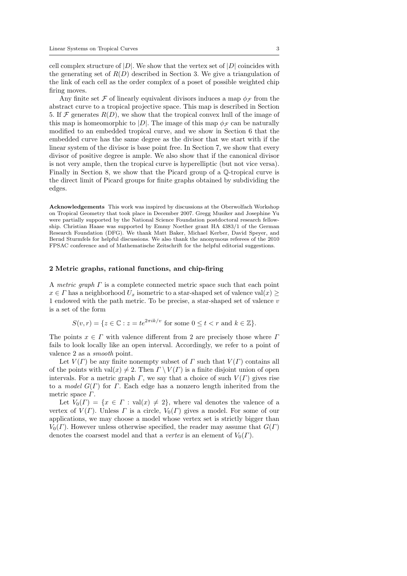cell complex structure of  $|D|$ . We show that the vertex set of  $|D|$  coincides with the generating set of  $R(D)$  described in Section 3. We give a triangulation of the link of each cell as the order complex of a poset of possible weighted chip firing moves.

Any finite set  $\mathcal F$  of linearly equivalent divisors induces a map  $\phi_{\mathcal F}$  from the abstract curve to a tropical projective space. This map is described in Section 5. If  $\mathcal F$  generates  $R(D)$ , we show that the tropical convex hull of the image of this map is homeomorphic to |D|. The image of this map  $\phi_{\mathcal{F}}$  can be naturally modified to an embedded tropical curve, and we show in Section 6 that the embedded curve has the same degree as the divisor that we start with if the linear system of the divisor is base point free. In Section 7, we show that every divisor of positive degree is ample. We also show that if the canonical divisor is not very ample, then the tropical curve is hyperelliptic (but not vice versa). Finally in Section 8, we show that the Picard group of a Q-tropical curve is the direct limit of Picard groups for finite graphs obtained by subdividing the edges.

Acknowledgements This work was inspired by discussions at the Oberwolfach Workshop on Tropical Geometry that took place in December 2007. Gregg Musiker and Josephine Yu were partially supported by the National Science Foundation postdoctoral research fellowship. Christian Haase was supported by Emmy Noether grant HA 4383/1 of the German Research Foundation (DFG). We thank Matt Baker, Michael Kerber, David Speyer, and Bernd Sturmfels for helpful discussions. We also thank the anonymous referees of the 2010 FPSAC conference and of Mathematische Zeitschrift for the helpful editorial suggestions.

### 2 Metric graphs, rational functions, and chip-firing

A metric graph  $\Gamma$  is a complete connected metric space such that each point  $x \in \Gamma$  has a neighborhood  $U_x$  isometric to a star-shaped set of valence val $(x) \geq$ 1 endowed with the path metric. To be precise, a star-shaped set of valence v is a set of the form

$$
S(v,r) = \{ z \in \mathbb{C} : z = te^{2\pi i k/v} \text{ for some } 0 \le t < r \text{ and } k \in \mathbb{Z} \}.
$$

The points  $x \in \Gamma$  with valence different from 2 are precisely those where  $\Gamma$ fails to look locally like an open interval. Accordingly, we refer to a point of valence 2 as a smooth point.

Let  $V(\Gamma)$  be any finite nonempty subset of  $\Gamma$  such that  $V(\Gamma)$  contains all of the points with  $val(x) \neq 2$ . Then  $\Gamma \setminus V(\Gamma)$  is a finite disjoint union of open intervals. For a metric graph  $\Gamma$ , we say that a choice of such  $V(\Gamma)$  gives rise to a model  $G(\Gamma)$  for  $\Gamma$ . Each edge has a nonzero length inherited from the metric space Γ.

Let  $V_0(\Gamma) = \{x \in \Gamma : \text{val}(x) \neq 2\}$ , where val denotes the valence of a vertex of  $V(\Gamma)$ . Unless  $\Gamma$  is a circle,  $V_0(\Gamma)$  gives a model. For some of our applications, we may choose a model whose vertex set is strictly bigger than  $V_0(\Gamma)$ . However unless otherwise specified, the reader may assume that  $G(\Gamma)$ denotes the coarsest model and that a vertex is an element of  $V_0(\Gamma)$ .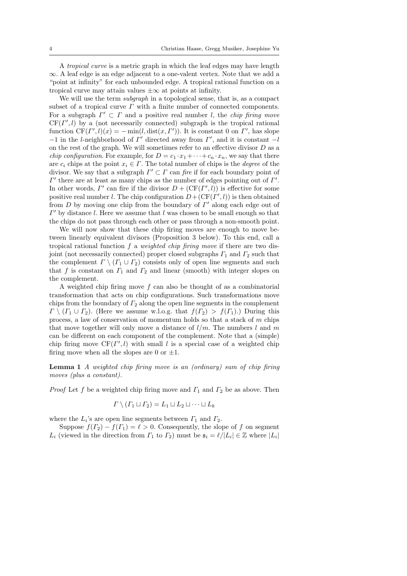A tropical curve is a metric graph in which the leaf edges may have length ∞. A leaf edge is an edge adjacent to a one-valent vertex. Note that we add a "point at infinity" for each unbounded edge. A tropical rational function on a tropical curve may attain values  $\pm \infty$  at points at infinity.

We will use the term *subgraph* in a topological sense, that is, as a compact subset of a tropical curve  $\Gamma$  with a finite number of connected components. For a subgraph  $\Gamma' \subset \Gamma$  and a positive real number l, the *chip firing move*  $CF(\Gamma', l)$  by a (not necessarily connected) subgraph is the tropical rational function  $CF(\Gamma', l)(x) = -\min(l, \text{dist}(x, \Gamma'))$ . It is constant 0 on  $\Gamma'$ , has slope  $-1$  in the l-neighborhood of  $\Gamma'$  directed away from  $\Gamma'$ , and it is constant  $-l$ on the rest of the graph. We will sometimes refer to an effective divisor  $D$  as a *chip configuration.* For example, for  $D = c_1 \cdot x_1 + \cdots + c_n \cdot x_n$ , we say that there are  $c_i$  chips at the point  $x_i \in \Gamma$ . The total number of chips is the *degree* of the divisor. We say that a subgraph  $\Gamma' \subset \Gamma$  can fire if for each boundary point of  $\Gamma'$  there are at least as many chips as the number of edges pointing out of  $\Gamma'.$ In other words,  $\Gamma'$  can fire if the divisor  $D + (CF(\Gamma', l))$  is effective for some positive real number l. The chip configuration  $D + (CF(\Gamma', l))$  is then obtained from  $D$  by moving one chip from the boundary of  $\Gamma'$  along each edge out of  $\Gamma'$  by distance l. Here we assume that l was chosen to be small enough so that the chips do not pass through each other or pass through a non-smooth point.

We will now show that these chip firing moves are enough to move between linearly equivalent divisors (Proposition 3 below). To this end, call a tropical rational function  $f$  a weighted chip firing move if there are two disjoint (not necessarily connected) proper closed subgraphs  $\Gamma_1$  and  $\Gamma_2$  such that the complement  $\Gamma \setminus (\Gamma_1 \cup \Gamma_2)$  consists only of open line segments and such that f is constant on  $\Gamma_1$  and  $\Gamma_2$  and linear (smooth) with integer slopes on the complement.

A weighted chip firing move  $f$  can also be thought of as a combinatorial transformation that acts on chip configurations. Such transformations move chips from the boundary of  $\Gamma_2$  along the open line segments in the complement  $\Gamma \setminus (\Gamma_1 \cup \Gamma_2)$ . (Here we assume w.l.o.g. that  $f(\Gamma_2) > f(\Gamma_1)$ .) During this process, a law of conservation of momentum holds so that a stack of m chips that move together will only move a distance of  $l/m$ . The numbers l and m can be different on each component of the complement. Note that a (simple) chip firing move  $CF(\Gamma', l)$  with small l is a special case of a weighted chip firing move when all the slopes are 0 or  $\pm 1$ .

Lemma 1 A weighted chip firing move is an (ordinary) sum of chip firing moves (plus a constant).

*Proof* Let f be a weighted chip firing move and  $\Gamma_1$  and  $\Gamma_2$  be as above. Then

$$
\Gamma \setminus (\Gamma_1 \sqcup \Gamma_2) = L_1 \sqcup L_2 \sqcup \cdots \sqcup L_k
$$

where the  $L_i$ 's are open line segments between  $\Gamma_1$  and  $\Gamma_2$ .

Suppose  $f(T_2) - f(T_1) = \ell > 0$ . Consequently, the slope of f on segment  $L_i$  (viewed in the direction from  $\Gamma_1$  to  $\Gamma_2$ ) must be  $\mathfrak{s}_i = \ell/|L_i| \in \mathbb{Z}$  where  $|L_i|$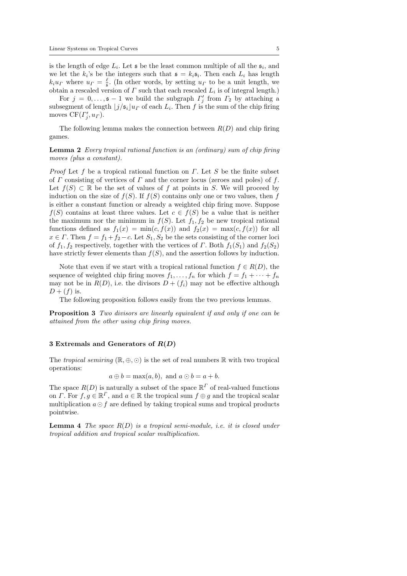is the length of edge  $L_i$ . Let  $\mathfrak s$  be the least common multiple of all the  $\mathfrak s_i$ , and we let the  $k_i$ 's be the integers such that  $\mathfrak{s} = k_i \mathfrak{s}_i$ . Then each  $L_i$  has length  $k_i u_{\Gamma}$  where  $u_{\Gamma} = \frac{\ell}{2}$ . (In other words, by setting  $u_{\Gamma}$  to be a unit length, we obtain a rescaled version of  $\Gamma$  such that each rescaled  $L_i$  is of integral length.)

For  $j = 0, \ldots, \mathfrak{s} - 1$  we build the subgraph  $\Gamma'_j$  from  $\Gamma_2$  by attaching a subsegment of length  $\lfloor j/\mathfrak{s}_i \rfloor u_F$  of each  $L_i$ . Then f is the sum of the chip firing moves  $CF(\Gamma'_j, u_\Gamma)$ .

The following lemma makes the connection between  $R(D)$  and chip firing games.

Lemma 2 Every tropical rational function is an (ordinary) sum of chip firing moves (plus a constant).

*Proof* Let f be a tropical rational function on  $\Gamma$ . Let S be the finite subset of  $\Gamma$  consisting of vertices of  $\Gamma$  and the corner locus (zeroes and poles) of  $f$ . Let  $f(S) \subset \mathbb{R}$  be the set of values of f at points in S. We will proceed by induction on the size of  $f(S)$ . If  $f(S)$  contains only one or two values, then f is either a constant function or already a weighted chip firing move. Suppose  $f(S)$  contains at least three values. Let  $c \in f(S)$  be a value that is neither the maximum nor the minimum in  $f(S)$ . Let  $f_1, f_2$  be new tropical rational functions defined as  $f_1(x) = \min(c, f(x))$  and  $f_2(x) = \max(c, f(x))$  for all  $x \in \Gamma$ . Then  $f = f_1 + f_2 - c$ . Let  $S_1, S_2$  be the sets consisting of the corner loci of  $f_1, f_2$  respectively, together with the vertices of  $\Gamma$ . Both  $f_1(S_1)$  and  $f_2(S_2)$ have strictly fewer elements than  $f(S)$ , and the assertion follows by induction.

Note that even if we start with a tropical rational function  $f \in R(D)$ , the sequence of weighted chip firing moves  $f_1, \ldots, f_n$  for which  $f = f_1 + \cdots + f_n$ may not be in  $R(D)$ , i.e. the divisors  $D + (f_i)$  may not be effective although  $D + (f)$  is.

The following proposition follows easily from the two previous lemmas.

Proposition 3 Two divisors are linearly equivalent if and only if one can be attained from the other using chip firing moves.

## 3 Extremals and Generators of  $R(D)$

The tropical semiring  $(\mathbb{R}, \oplus, \odot)$  is the set of real numbers  $\mathbb R$  with two tropical operations:

$$
a \oplus b = \max(a, b)
$$
, and  $a \odot b = a + b$ .

The space  $R(D)$  is naturally a subset of the space  $\mathbb{R}^T$  of real-valued functions on *Γ*. For  $f, g \in \mathbb{R}^{\Gamma}$ , and  $a \in \mathbb{R}$  the tropical sum  $f \oplus g$  and the tropical scalar multiplication  $a \odot f$  are defined by taking tropical sums and tropical products pointwise.

**Lemma 4** The space  $R(D)$  is a tropical semi-module, i.e. it is closed under tropical addition and tropical scalar multiplication.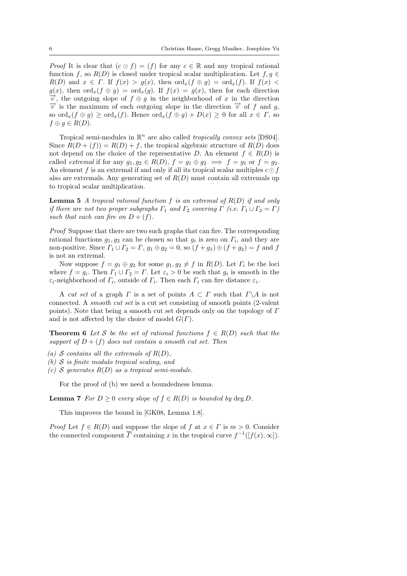*Proof* It is clear that  $(c \odot f) = (f)$  for any  $c \in \mathbb{R}$  and any tropical rational function f, so  $R(D)$  is closed under tropical scalar multiplication. Let  $f, g \in$  $R(D)$  and  $x \in \Gamma$ . If  $f(x) > g(x)$ , then  $\text{ord}_x(f \oplus g) = \text{ord}_x(f)$ . If  $f(x) <$  $g(x)$ , then  $\text{ord}_x(f \oplus g) = \text{ord}_x(g)$ . If  $f(x) = g(x)$ , then for each direction  $\overrightarrow{v}$ , the outgoing slope of  $f \oplus g$  in the neighborhood of x in the direction  $\vec{v}$  is the maximum of each outgoing slope in the direction  $\vec{v}$  of f and g, so  $\operatorname{ord}_x(f \oplus g) \ge \operatorname{ord}_x(f)$ . Hence  $\operatorname{ord}_x(f \oplus g) + D(x) \ge 0$  for all  $x \in \Gamma$ , so  $f \oplus g \in R(D).$ 

Tropical semi-modules in  $\mathbb{R}^n$  are also called *tropically convex sets* [DS04]. Since  $R(D+(f)) = R(D) + f$ , the tropical algebraic structure of  $R(D)$  does not depend on the choice of the representative D. An element  $f \in R(D)$  is called *extremal* if for any  $g_1, g_2 \in R(D)$ ,  $f = g_1 \oplus g_2 \implies f = g_1$  or  $f = g_2$ . An element f is an extremal if and only if all its tropical scalar multiples  $c \odot f$ also are extremals. Any generating set of  $R(D)$  must contain all extremals up to tropical scalar multiplication.

**Lemma 5** A tropical rational function f is an extremal of  $R(D)$  if and only if there are not two proper subgraphs  $\Gamma_1$  and  $\Gamma_2$  covering  $\Gamma$  (i.e.  $\Gamma_1 \cup \Gamma_2 = \Gamma$ ) such that each can fire on  $D + (f)$ .

Proof Suppose that there are two such graphs that can fire. The corresponding rational functions  $g_1, g_2$  can be chosen so that  $g_i$  is zero on  $\Gamma_i$ , and they are non-positive. Since  $\Gamma_1 \cup \Gamma_2 = \Gamma$ ,  $g_1 \oplus g_2 = 0$ , so  $(f + g_1) \oplus (f + g_2) = f$  and f is not an extremal.

Now suppose  $f = g_1 \oplus g_2$  for some  $g_1, g_2 \neq f$  in  $R(D)$ . Let  $\Gamma_i$  be the loci where  $f = g_i$ . Then  $\Gamma_1 \cup \Gamma_2 = \Gamma$ . Let  $\varepsilon_i > 0$  be such that  $g_i$  is smooth in the  $\varepsilon_i$ -neighborhood of  $\Gamma_i$ , outside of  $\Gamma_i$ . Then each  $\Gamma_i$  can fire distance  $\varepsilon_i$ .

A cut set of a graph  $\Gamma$  is a set of points  $A \subset \Gamma$  such that  $\Gamma \backslash A$  is not connected. A smooth cut set is a cut set consisting of smooth points (2-valent points). Note that being a smooth cut set depends only on the topology of  $\Gamma$ and is not affected by the choice of model  $G(\Gamma)$ .

**Theorem 6** Let S be the set of rational functions  $f \in R(D)$  such that the support of  $D + (f)$  does not contain a smooth cut set. Then

- (a) S contains all the extremals of  $R(D)$ ,
- (b)  $S$  is finite modulo tropical scaling, and
- (c) S generates  $R(D)$  as a tropical semi-module.

For the proof of (b) we need a boundedness lemma.

**Lemma 7** For  $D \ge 0$  every slope of  $f \in R(D)$  is bounded by deg D.

This improves the bound in [GK08, Lemma 1.8].

*Proof* Let  $f \in R(D)$  and suppose the slope of f at  $x \in \Gamma$  is  $m > 0$ . Consider the connected component  $\overline{\Gamma}$  containing x in the tropical curve  $f^{-1}([f(x), \infty])$ .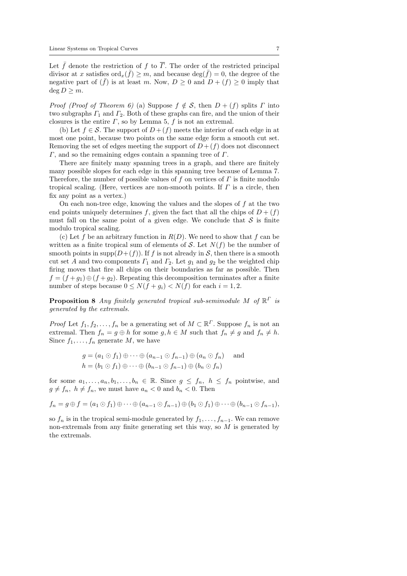Let  $\bar{f}$  denote the restriction of f to  $\bar{r}$ . The order of the restricted principal divisor at x satisfies  $\text{ord}_x(\bar{f}) \geq m$ , and because  $\text{deg}(\bar{f}) = 0$ , the degree of the negative part of  $(f)$  is at least m. Now,  $D \geq 0$  and  $D + (f) \geq 0$  imply that deg  $D \geq m$ .

*Proof (Proof of Theorem 6)* (a) Suppose  $f \notin S$ , then  $D + (f)$  splits  $\Gamma$  into two subgraphs  $\Gamma_1$  and  $\Gamma_2$ . Both of these graphs can fire, and the union of their closures is the entire  $\Gamma$ , so by Lemma 5,  $f$  is not an extremal.

(b) Let  $f \in \mathcal{S}$ . The support of  $D + (f)$  meets the interior of each edge in at most one point, because two points on the same edge form a smooth cut set. Removing the set of edges meeting the support of  $D + (f)$  does not disconnect  $\Gamma$ , and so the remaining edges contain a spanning tree of  $\Gamma$ .

There are finitely many spanning trees in a graph, and there are finitely many possible slopes for each edge in this spanning tree because of Lemma 7. Therefore, the number of possible values of f on vertices of  $\Gamma$  is finite modulo tropical scaling. (Here, vertices are non-smooth points. If  $\Gamma$  is a circle, then fix any point as a vertex.)

On each non-tree edge, knowing the values and the slopes of  $f$  at the two end points uniquely determines f, given the fact that all the chips of  $D + (f)$ must fall on the same point of a given edge. We conclude that  $S$  is finite modulo tropical scaling.

(c) Let f be an arbitrary function in  $R(D)$ . We need to show that f can be written as a finite tropical sum of elements of  $S$ . Let  $N(f)$  be the number of smooth points in supp $(D+(f))$ . If f is not already in S, then there is a smooth cut set A and two components  $\Gamma_1$  and  $\Gamma_2$ . Let  $g_1$  and  $g_2$  be the weighted chip firing moves that fire all chips on their boundaries as far as possible. Then  $f = (f + g_1) \oplus (f + g_2)$ . Repeating this decomposition terminates after a finite number of steps because  $0 \le N(f + g_i) < N(f)$  for each  $i = 1, 2$ .

**Proposition 8** Any finitely generated tropical sub-semimodule M of  $\mathbb{R}^{\Gamma}$  is generated by the extremals.

*Proof* Let  $f_1, f_2, \ldots, f_n$  be a generating set of  $M \subset \mathbb{R}^{\Gamma}$ . Suppose  $f_n$  is not an extremal. Then  $f_n = g \oplus h$  for some  $g, h \in M$  such that  $f_n \neq g$  and  $f_n \neq h$ . Since  $f_1, \ldots, f_n$  generate M, we have

$$
g = (a_1 \odot f_1) \oplus \cdots \oplus (a_{n-1} \odot f_{n-1}) \oplus (a_n \odot f_n) \quad \text{and}
$$
  

$$
h = (b_1 \odot f_1) \oplus \cdots \oplus (b_{n-1} \odot f_{n-1}) \oplus (b_n \odot f_n)
$$

for some  $a_1, \ldots, a_n, b_1, \ldots, b_n \in \mathbb{R}$ . Since  $g \leq f_n$ ,  $h \leq f_n$  pointwise, and  $g \neq f_n$ ,  $h \neq f_n$ , we must have  $a_n < 0$  and  $b_n < 0$ . Then

 $f_n = g \oplus f = (a_1 \odot f_1) \oplus \cdots \oplus (a_{n-1} \odot f_{n-1}) \oplus (b_1 \odot f_1) \oplus \cdots \oplus (b_{n-1} \odot f_{n-1}),$ 

so  $f_n$  is in the tropical semi-module generated by  $f_1, \ldots, f_{n-1}$ . We can remove non-extremals from any finite generating set this way, so M is generated by the extremals.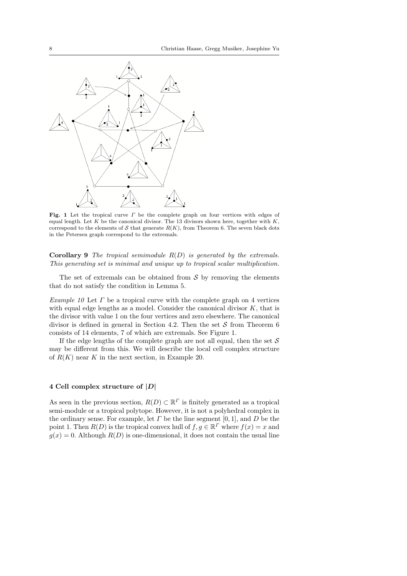

Fig. 1 Let the tropical curve  $\Gamma$  be the complete graph on four vertices with edges of equal length. Let K be the canonical divisor. The 13 divisors shown here, together with  $K$ , correspond to the elements of S that generate  $R(K)$ , from Theorem 6. The seven black dots in the Petersen graph correspond to the extremals.

**Corollary 9** The tropical semimodule  $R(D)$  is generated by the extremals. This generating set is minimal and unique up to tropical scalar multiplication.

The set of extremals can be obtained from  $S$  by removing the elements that do not satisfy the condition in Lemma 5.

Example 10 Let  $\Gamma$  be a tropical curve with the complete graph on 4 vertices with equal edge lengths as a model. Consider the canonical divisor  $K$ , that is the divisor with value 1 on the four vertices and zero elsewhere. The canonical divisor is defined in general in Section 4.2. Then the set  $S$  from Theorem 6 consists of 14 elements, 7 of which are extremals. See Figure 1.

If the edge lengths of the complete graph are not all equal, then the set  $S$ may be different from this. We will describe the local cell complex structure of  $R(K)$  near K in the next section, in Example 20.

# 4 Cell complex structure of  $|D|$

As seen in the previous section,  $R(D) \subset \mathbb{R}^{\Gamma}$  is finitely generated as a tropical semi-module or a tropical polytope. However, it is not a polyhedral complex in the ordinary sense. For example, let  $\Gamma$  be the line segment [0, 1], and  $D$  be the point 1. Then  $R(D)$  is the tropical convex hull of  $f, g \in \mathbb{R}^{\Gamma}$  where  $f(x) = x$  and  $g(x) = 0$ . Although  $R(D)$  is one-dimensional, it does not contain the usual line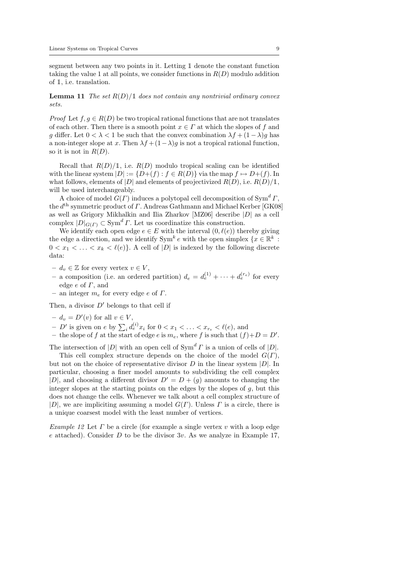segment between any two points in it. Letting 1 denote the constant function taking the value 1 at all points, we consider functions in  $R(D)$  modulo addition of 1, i.e. translation.

**Lemma 11** The set  $R(D)/1$  does not contain any nontrivial ordinary convex sets.

*Proof* Let  $f, g \in R(D)$  be two tropical rational functions that are not translates of each other. Then there is a smooth point  $x \in \Gamma$  at which the slopes of f and g differ. Let  $0 < \lambda < 1$  be such that the convex combination  $\lambda f + (1 - \lambda)g$  has a non-integer slope at x. Then  $\lambda f + (1 - \lambda)g$  is not a tropical rational function, so it is not in  $R(D)$ .

Recall that  $R(D)/1$ , i.e.  $R(D)$  modulo tropical scaling can be identified with the linear system  $|D| := \{D+(f) : f \in R(D)\}\$ via the map  $f \mapsto D+(f)$ . In what follows, elements of |D| and elements of projectivized  $R(D)$ , i.e.  $R(D)/1$ , will be used interchangeably.

A choice of model  $G(\Gamma)$  induces a polytopal cell decomposition of Sym<sup>d</sup>  $\Gamma$ , the  $d^{\text{th}}$  symmetric product of  $\Gamma$ . Andreas Gathmann and Michael Kerber [GK08] as well as Grigory Mikhalkin and Ilia Zharkov [MZ06] describe |D| as a cell complex  $|D|_{G(\Gamma)} \subset \text{Sym}^d \Gamma$ . Let us coordinatize this construction.

We identify each open edge  $e \in E$  with the interval  $(0, \ell(e))$  thereby giving the edge a direction, and we identify  $Sym^k e$  with the open simplex  $\{x \in \mathbb{R}^k\}$ .  $0 < x_1 < \ldots < x_k < \ell(e)$ . A cell of  $|D|$  is indexed by the following discrete data:

- $-d_v \in \mathbb{Z}$  for every vertex  $v \in V$ ,
- a composition (i.e. an ordered partition)  $d_e = d_e^{(1)} + \cdots + d_e^{(r_e)}$  for every edge  $e$  of  $\Gamma$ , and
- an integer  $m_e$  for every edge e of  $\Gamma$ .

Then, a divisor  $D'$  belongs to that cell if

- $-d_v = D'(v)$  for all  $v \in V$ ,
- D' is given on e by  $\sum_i d_e^{(i)} x_i$  for  $0 < x_1 < \ldots < x_{r_e} < \ell(e)$ , and
- the slope of f at the start of edge e is  $m_e$ , where f is such that  $(f)+D=D'$ .

The intersection of  $|D|$  with an open cell of  $Sym^d \Gamma$  is a union of cells of  $|D|$ .

This cell complex structure depends on the choice of the model  $G(\Gamma)$ , but not on the choice of representative divisor  $D$  in the linear system  $|D|$ . In particular, choosing a finer model amounts to subdividing the cell complex |D|, and choosing a different divisor  $D' = D + (q)$  amounts to changing the integer slopes at the starting points on the edges by the slopes of  $g$ , but this does not change the cells. Whenever we talk about a cell complex structure of |D|, we are impliciting assuming a model  $G(\Gamma)$ . Unless  $\Gamma$  is a circle, there is a unique coarsest model with the least number of vertices.

Example 12 Let  $\Gamma$  be a circle (for example a single vertex  $v$  with a loop edge e attached). Consider D to be the divisor  $3v$ . As we analyze in Example 17,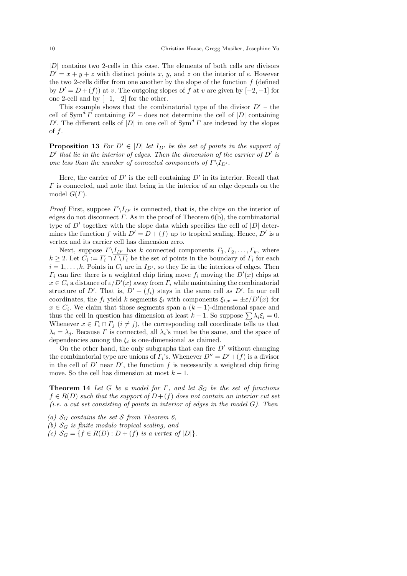|D| contains two 2-cells in this case. The elements of both cells are divisors  $D' = x + y + z$  with distinct points x, y, and z on the interior of e. However the two 2-cells differ from one another by the slope of the function  $f$  (defined by  $D' = D + (f)$  at v. The outgoing slopes of f at v are given by  $[-2, -1]$  for one 2-cell and by  $[-1, -2]$  for the other.

This example shows that the combinatorial type of the divisor  $D'$  – the cell of  $Sym^d \Gamma$  containing  $D'$  – does not determine the cell of  $|D|$  containing D'. The different cells of  $|D|$  in one cell of  $Sym^d \Gamma$  are indexed by the slopes of  $f$ .

**Proposition 13** For  $D' \in |D|$  let  $I_{D'}$  be the set of points in the support of  $D'$  that lie in the interior of edges. Then the dimension of the carrier of  $D'$  is one less than the number of connected components of  $\Gamma\backslash I_{D'}$ .

Here, the carrier of  $D'$  is the cell containing  $D'$  in its interior. Recall that  $\Gamma$  is connected, and note that being in the interior of an edge depends on the model  $G(\Gamma)$ .

*Proof* First, suppose  $\Gamma \backslash I_{D'}$  is connected, that is, the chips on the interior of edges do not disconnect  $\Gamma$ . As in the proof of Theorem 6(b), the combinatorial type of  $D'$  together with the slope data which specifies the cell of  $|D|$  determines the function f with  $D' = D + (f)$  up to tropical scaling. Hence, D' is a vertex and its carrier cell has dimension zero.

Next, suppose  $\Gamma\backslash I_{D'}$  has k connected components  $\Gamma_1, \Gamma_2, \ldots, \Gamma_k$ , where  $k \geq 2$ . Let  $C_i := \Gamma_i \cap \Gamma \backslash \Gamma_i$  be the set of points in the boundary of  $\Gamma_i$  for each  $i = 1, \ldots, k$ . Points in  $C_i$  are in  $I_{D'}$ , so they lie in the interiors of edges. Then  $\Gamma_i$  can fire: there is a weighted chip firing move  $f_i$  moving the  $D'(x)$  chips at  $x \in C_i$  a distance of  $\varepsilon/D'(x)$  away from  $\Gamma_i$  while maintaining the combinatorial structure of D'. That is,  $D' + (f_i)$  stays in the same cell as D'. In our cell coordinates, the  $f_i$  yield k segments  $\xi_i$  with components  $\xi_{i,x} = \pm \varepsilon/D'(x)$  for  $x \in C_i$ . We claim that those segments span a  $(k-1)$ -dimensional space and thus the cell in question has dimension at least  $k - 1$ . So suppose  $\sum \lambda_i \xi_i = 0$ . Whenever  $x \in \Gamma_i \cap \Gamma_j$   $(i \neq j)$ , the corresponding cell coordinate tells us that  $\lambda_i = \lambda_j$ . Because *Γ* is connected, all  $\lambda_i$ 's must be the same, and the space of dependencies among the  $\xi_i$  is one-dimensional as claimed.

On the other hand, the only subgraphs that can fire  $D'$  without changing the combinatorial type are unions of  $\Gamma_i$ 's. Whenever  $D'' = D' + (f)$  is a divisor in the cell of  $D'$  near  $D'$ , the function f is necessarily a weighted chip firing move. So the cell has dimension at most  $k - 1$ .

**Theorem 14** Let G be a model for Γ, and let  $S_G$  be the set of functions  $f \in R(D)$  such that the support of  $D+(f)$  does not contain an interior cut set (i.e. a cut set consisting of points in interior of edges in the model  $G$ ). Then

- (a)  $S_G$  contains the set S from Theorem 6,
- (b)  $S_G$  is finite modulo tropical scaling, and
- (c)  $S_G = \{ f \in R(D) : D + (f) \text{ is a vertex of } |D| \}.$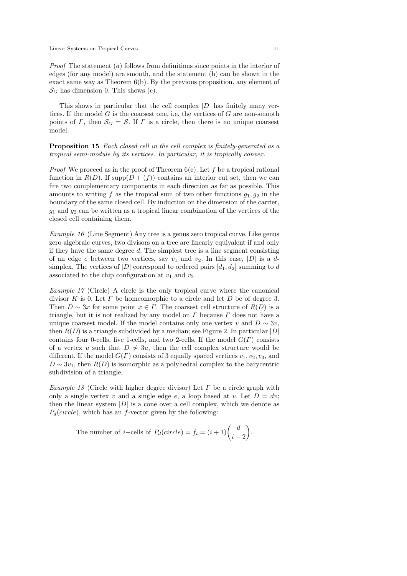Proof The statement (a) follows from definitions since points in the interior of edges (for any model) are smooth, and the statement (b) can be shown in the exact same way as Theorem  $6(b)$ . By the previous proposition, any element of  $\mathcal{S}_G$  has dimension 0. This shows (c).

This shows in particular that the cell complex  $|D|$  has finitely many vertices. If the model  $G$  is the coarsest one, i.e. the vertices of  $G$  are non-smooth points of Γ, then  $\mathcal{S}_G = \mathcal{S}$ . If Γ is a circle, then there is no unique coarsest model.

Proposition 15 Each closed cell in the cell complex is finitely-generated as a tropical semi-module by its vertices. In particular, it is tropically convex.

*Proof* We proceed as in the proof of Theorem  $6(c)$ . Let f be a tropical rational function in  $R(D)$ . If supp $(D+(f))$  contains an interior cut set, then we can fire two complementary components in each direction as far as possible. This amounts to writing f as the tropical sum of two other functions  $q_1, q_2$  in the boundary of the same closed cell. By induction on the dimension of the carrier,  $g_1$  and  $g_2$  can be written as a tropical linear combination of the vertices of the closed cell containing them.

Example 16 (Line Segment) Any tree is a genus zero tropical curve. Like genus zero algebraic curves, two divisors on a tree are linearly equivalent if and only if they have the same degree  $d$ . The simplest tree is a line segment consisting of an edge e between two vertices, say  $v_1$  and  $v_2$ . In this case, |D| is a dsimplex. The vertices of  $|D|$  correspond to ordered pairs  $[d_1, d_2]$  summing to d associated to the chip configuration at  $v_1$  and  $v_2$ .

Example 17 (Circle) A circle is the only tropical curve where the canonical divisor K is 0. Let  $\Gamma$  be homeomorphic to a circle and let  $D$  be of degree 3. Then  $D \sim 3x$  for some point  $x \in \Gamma$ . The coarsest cell structure of  $R(D)$  is a triangle, but it is not realized by any model on  $\Gamma$  because  $\Gamma$  does not have a unique coarsest model. If the model contains only one vertex v and  $D \sim 3v$ , then  $R(D)$  is a triangle subdivided by a median; see Figure 2. In particular  $|D|$ contains four 0-cells, five 1-cells, and two 2-cells. If the model  $G(\Gamma)$  consists of a vertex u such that  $D \nsim 3u$ , then the cell complex structure would be different. If the model  $G(\Gamma)$  consists of 3 equally spaced vertices  $v_1, v_2, v_3$ , and  $D \sim 3v_1$ , then  $R(D)$  is isomorphic as a polyhedral complex to the barycentric subdivision of a triangle.

Example 18 (Circle with higher degree divisor) Let  $\Gamma$  be a circle graph with only a single vertex v and a single edge e, a loop based at v. Let  $D = dv$ ; then the linear system  $|D|$  is a cone over a cell complex, which we denote as  $P_d(circle)$ , which has an f-vector given by the following:

The number of *i*-cells of  $P_d(circle) = f_i = (i+1) \binom{d}{i+2}$ .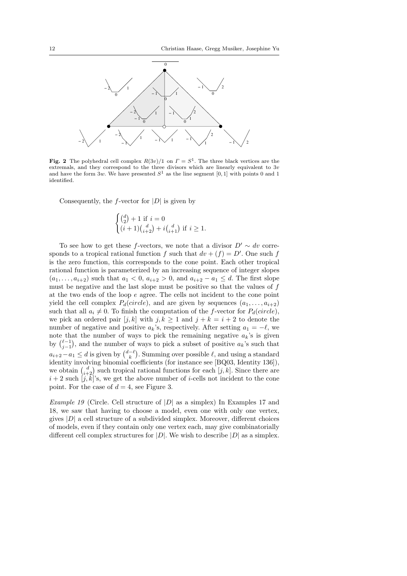

Fig. 2 The polyhedral cell complex  $R(3v)/1$  on  $\Gamma = S^1$ . The three black vertices are the extremals, and they correspond to the three divisors which are linearly equivalent to 3v and have the form 3w. We have presented  $S^1$  as the line segment [0, 1] with points 0 and 1 identified.

Consequently, the *f*-vector for  $|D|$  is given by

$$
\begin{cases} \binom{d}{2} + 1 \text{ if } i = 0\\ (i+1)\binom{d}{i+2} + i\binom{d}{i+1} \text{ if } i \ge 1. \end{cases}
$$

To see how to get these f-vectors, we note that a divisor  $D' \sim dv$  corresponds to a tropical rational function f such that  $dv + (f) = D'$ . One such f is the zero function, this corresponds to the cone point. Each other tropical rational function is parameterized by an increasing sequence of integer slopes  $(a_1, \ldots, a_{i+2})$  such that  $a_1 < 0$ ,  $a_{i+2} > 0$ , and  $a_{i+2} - a_1 \leq d$ . The first slope must be negative and the last slope must be positive so that the values of  $f$ at the two ends of the loop e agree. The cells not incident to the cone point yield the cell complex  $P_d(circle)$ , and are given by sequences  $(a_1, \ldots, a_{i+2})$ such that all  $a_i \neq 0$ . To finish the computation of the f-vector for  $P_d(circle)$ , we pick an ordered pair  $[j, k]$  with  $j, k \ge 1$  and  $j + k = i + 2$  to denote the number of negative and positive  $a_k$ 's, respectively. After setting  $a_1 = -\ell$ , we note that the number of ways to pick the remaining negative  $a_k$ 's is given by  $\binom{\ell-1}{j-1}$ , and the number of ways to pick a subset of positive  $a_k$ 's such that  $a_{i+2} - a_1 \le d$  is given by  $\binom{d-\ell}{k}$ . Summing over possible  $\ell$ , and using a standard identity involving binomial coefficients (for instance see [BQ03, Identity 136]), we obtain  $\binom{d}{i+2}$  such tropical rational functions for each  $[j, k]$ . Since there are  $i + 2$  such  $[j, \bar{k}]$ 's, we get the above number of *i*-cells not incident to the cone point. For the case of  $d = 4$ , see Figure 3.

*Example 19* (Circle. Cell structure of  $|D|$  as a simplex) In Examples 17 and 18, we saw that having to choose a model, even one with only one vertex, gives  $|D|$  a cell structure of a subdivided simplex. Moreover, different choices of models, even if they contain only one vertex each, may give combinatorially different cell complex structures for  $|D|$ . We wish to describe  $|D|$  as a simplex.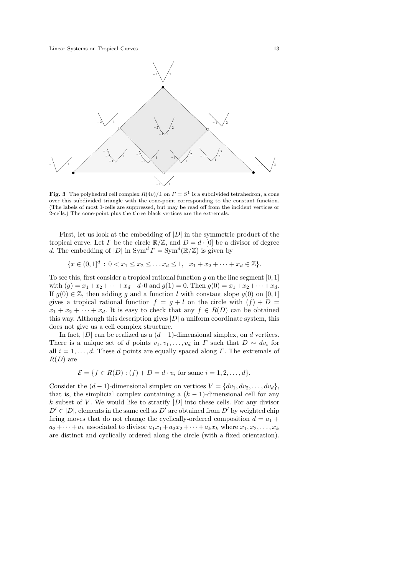

Fig. 3 The polyhedral cell complex  $R(4v)/1$  on  $\Gamma = S^1$  is a subdivided tetrahedron, a cone over this subdivided triangle with the cone-point corresponding to the constant function. (The labels of most 1-cells are suppressed, but may be read off from the incident vertices or 2-cells.) The cone-point plus the three black vertices are the extremals.

First, let us look at the embedding of  $|D|$  in the symmetric product of the tropical curve. Let  $\Gamma$  be the circle  $\mathbb{R}/\mathbb{Z}$ , and  $D = d \cdot [0]$  be a divisor of degree d. The embedding of |D| in  $\text{Sym}^d \Gamma = \text{Sym}^d (\mathbb{R}/\mathbb{Z})$  is given by

$$
\{x \in (0,1]^d : 0 < x_1 \le x_2 \le \dots x_d \le 1, \quad x_1 + x_2 + \dots + x_d \in \mathbb{Z}\}.
$$

To see this, first consider a tropical rational function  $g$  on the line segment  $[0, 1]$ with  $(q) = x_1 + x_2 + \cdots + x_d - d \cdot 0$  and  $q(1) = 0$ . Then  $q(0) = x_1 + x_2 + \cdots + x_d$ . If  $g(0) \in \mathbb{Z}$ , then adding g and a function l with constant slope  $g(0)$  on [0, 1] gives a tropical rational function  $f = g + l$  on the circle with  $(f) + D =$  $x_1 + x_2 + \cdots + x_d$ . It is easy to check that any  $f \in R(D)$  can be obtained this way. Although this description gives  $|D|$  a uniform coordinate system, this does not give us a cell complex structure.

In fact, |D| can be realized as a  $(d-1)$ -dimensional simplex, on d vertices. There is a unique set of d points  $v_1, v_1, \ldots, v_d$  in  $\Gamma$  such that  $D \sim dv_i$  for all  $i = 1, \ldots, d$ . These d points are equally spaced along  $\Gamma$ . The extremals of  $R(D)$  are

$$
\mathcal{E} = \{ f \in R(D) : (f) + D = d \cdot v_i \text{ for some } i = 1, 2, ..., d \}.
$$

Consider the  $(d-1)$ -dimensional simplex on vertices  $V = \{dv_1, dv_2, \ldots, dv_d\},\$ that is, the simplicial complex containing a  $(k-1)$ -dimensional cell for any k subset of V. We would like to stratify  $|D|$  into these cells. For any divisor  $D' \in |D|$ , elements in the same cell as  $D'$  are obtained from  $D'$  by weighted chip firing moves that do not change the cyclically-ordered composition  $d = a_1 +$  $a_2 + \cdots + a_k$  associated to divisor  $a_1x_1 + a_2x_2 + \cdots + a_kx_k$  where  $x_1, x_2, \ldots, x_k$ are distinct and cyclically ordered along the circle (with a fixed orientation).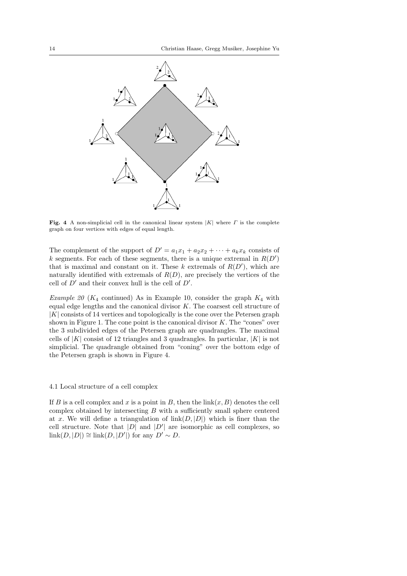

Fig. 4 A non-simplicial cell in the canonical linear system  $|K|$  where  $\Gamma$  is the complete graph on four vertices with edges of equal length.

The complement of the support of  $D' = a_1x_1 + a_2x_2 + \cdots + a_kx_k$  consists of k segments. For each of these segments, there is a unique extremal in  $R(D')$ that is maximal and constant on it. These  $k$  extremals of  $R(D')$ , which are naturally identified with extremals of  $R(D)$ , are precisely the vertices of the cell of  $D'$  and their convex hull is the cell of  $D'$ .

Example 20 ( $K_4$  continued) As in Example 10, consider the graph  $K_4$  with equal edge lengths and the canonical divisor K. The coarsest cell structure of |K| consists of 14 vertices and topologically is the cone over the Petersen graph shown in Figure 1. The cone point is the canonical divisor  $K$ . The "cones" over the 3 subdivided edges of the Petersen graph are quadrangles. The maximal cells of  $|K|$  consist of 12 triangles and 3 quadrangles. In particular,  $|K|$  is not simplicial. The quadrangle obtained from "coning" over the bottom edge of the Petersen graph is shown in Figure 4.

#### 4.1 Local structure of a cell complex

If B is a cell complex and x is a point in B, then the  $\text{link}(x, B)$  denotes the cell complex obtained by intersecting  $B$  with a sufficiently small sphere centered at x. We will define a triangulation of  $\text{link}(D, |D|)$  which is finer than the cell structure. Note that  $|D|$  and  $|D'|$  are isomorphic as cell complexes, so  $\text{link}(D, |D|) \cong \text{link}(D, |D'|)$  for any  $D' \sim D$ .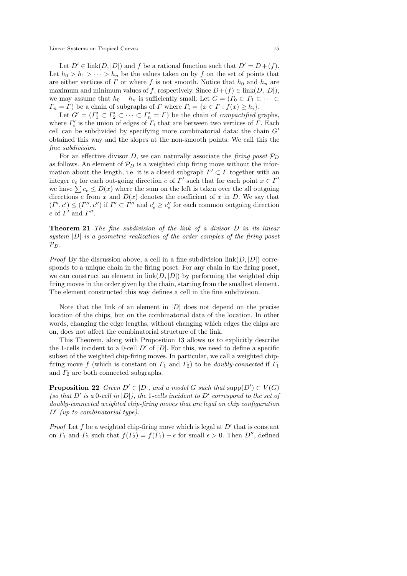Let  $D' \in \text{link}(D, |D|)$  and f be a rational function such that  $D' = D + (f)$ . Let  $h_0 > h_1 > \cdots > h_n$  be the values taken on by f on the set of points that are either vertices of  $\Gamma$  or where f is not smooth. Notice that  $h_0$  and  $h_n$  are maximum and minimum values of f, respectively. Since  $D+(f) \in \text{link}(D, |D|)$ , we may assume that  $h_0 - h_n$  is sufficiently small. Let  $G = (T_0 \subset T_1 \subset \cdots \subset$  $\Gamma_n = \Gamma$ ) be a chain of subgraphs of  $\Gamma$  where  $\Gamma_i = \{x \in \Gamma : f(x) \ge h_i\}.$ 

Let  $G' = (I'_1 \subset I'_2 \subset \cdots \subset I'_n = \Gamma)$  be the chain of *compactified* graphs, where  $\Gamma'_i$  is the union of edges of  $\Gamma_i$  that are between two vertices of  $\Gamma$ . Each cell can be subdivided by specifying more combinatorial data: the chain  $G'$ obtained this way and the slopes at the non-smooth points. We call this the fine subdivision.

For an effective divisor D, we can naturally associate the firing poset  $\mathcal{P}_D$ as follows. An element of  $\mathcal{P}_D$  is a weighted chip firing move without the information about the length, i.e. it is a closed subgraph  $\Gamma' \subset \Gamma$  together with an integer  $c_e$  for each out-going direction e of  $\Gamma'$  such that for each point  $x \in \Gamma'$ we have  $\sum c_e \le D(x)$  where the sum on the left is taken over the all outgoing directions e from x and  $D(x)$  denotes the coefficient of x in D. We say that  $(\Gamma', c') \leq (\Gamma'', c'')$  if  $\Gamma' \subset \Gamma''$  and  $c'_e \geq c''_e$  for each common outgoing direction  $e$  of  $\Gamma'$  and  $\Gamma''$ .

Theorem 21 The fine subdivision of the link of a divisor D in its linear system  $|D|$  is a geometric realization of the order complex of the firing poset  $\mathcal{P}_D$ .

*Proof* By the discussion above, a cell in a fine subdivision  $\text{link}(D, |D|)$  corresponds to a unique chain in the firing poset. For any chain in the firing poset, we can construct an element in  $\text{link}(D, |D|)$  by performing the weighted chip firing moves in the order given by the chain, starting from the smallest element. The element constructed this way defines a cell in the fine subdivision.

Note that the link of an element in  $|D|$  does not depend on the precise location of the chips, but on the combinatorial data of the location. In other words, changing the edge lengths, without changing which edges the chips are on, does not affect the combinatorial structure of the link.

This Theorem, along with Proposition 13 allows us to explicitly describe the 1-cells incident to a 0-cell  $D'$  of  $|D|$ . For this, we need to define a specific subset of the weighted chip-firing moves. In particular, we call a weighted chipfiring move f (which is constant on  $\Gamma_1$  and  $\Gamma_2$ ) to be *doubly-connected* if  $\Gamma_1$ and  $\Gamma_2$  are both connected subgraphs.

**Proposition 22** Given  $D' \in |D|$ , and a model G such that  $\text{supp}(D') \subset V(G)$ (so that D' is a 0-cell in  $|D|$ ), the 1-cells incident to D' correspond to the set of doubly-connected weighted chip-firing moves that are legal on chip configuration  $D'$  (up to combinatorial type).

*Proof* Let f be a weighted chip-firing move which is legal at  $D'$  that is constant on  $\Gamma_1$  and  $\Gamma_2$  such that  $f(\Gamma_2) = f(\Gamma_1) - \epsilon$  for small  $\epsilon > 0$ . Then  $D''$ , defined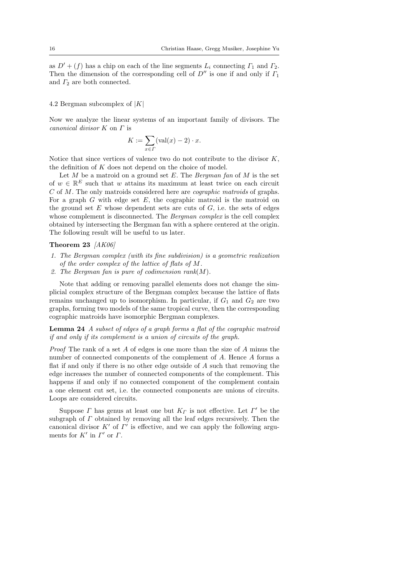as  $D' + (f)$  has a chip on each of the line segments  $L_i$  connecting  $\Gamma_1$  and  $\Gamma_2$ . Then the dimension of the corresponding cell of  $D''$  is one if and only if  $\Gamma_1$ and  $\Gamma_2$  are both connected.

### 4.2 Bergman subcomplex of  $|K|$

Now we analyze the linear systems of an important family of divisors. The canonical divisor K on Γ is

$$
K := \sum_{x \in \Gamma} (\text{val}(x) - 2) \cdot x.
$$

Notice that since vertices of valence two do not contribute to the divisor  $K$ , the definition of K does not depend on the choice of model.

Let  $M$  be a matroid on a ground set  $E$ . The Bergman fan of  $M$  is the set of  $w \in \mathbb{R}^E$  such that w attains its maximum at least twice on each circuit C of M. The only matroids considered here are cographic matroids of graphs. For a graph  $G$  with edge set  $E$ , the cographic matroid is the matroid on the ground set  $E$  whose dependent sets are cuts of  $G$ , i.e. the sets of edges whose complement is disconnected. The *Bergman complex* is the cell complex obtained by intersecting the Bergman fan with a sphere centered at the origin. The following result will be useful to us later.

### Theorem 23 [AK06]

- 1. The Bergman complex (with its fine subdivision) is a geometric realization of the order complex of the lattice of flats of M.
- 2. The Bergman fan is pure of codimension rank $(M)$ .

Note that adding or removing parallel elements does not change the simplicial complex structure of the Bergman complex because the lattice of flats remains unchanged up to isomorphism. In particular, if  $G_1$  and  $G_2$  are two graphs, forming two models of the same tropical curve, then the corresponding cographic matroids have isomorphic Bergman complexes.

Lemma 24 A subset of edges of a graph forms a flat of the cographic matroid if and only if its complement is a union of circuits of the graph.

Proof The rank of a set A of edges is one more than the size of A minus the number of connected components of the complement of A. Hence A forms a flat if and only if there is no other edge outside of A such that removing the edge increases the number of connected components of the complement. This happens if and only if no connected component of the complement contain a one element cut set, i.e. the connected components are unions of circuits. Loops are considered circuits.

Suppose  $\Gamma$  has genus at least one but  $K_{\Gamma}$  is not effective. Let  $\Gamma'$  be the subgraph of  $\Gamma$  obtained by removing all the leaf edges recursively. Then the canonical divisor  $K'$  of  $\Gamma'$  is effective, and we can apply the following arguments for  $K'$  in  $\Gamma'$  or  $\Gamma$ .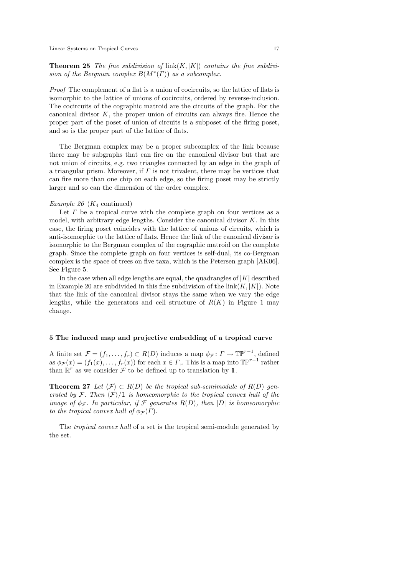**Theorem 25** The fine subdivision of  $\text{link}(K, |K|)$  contains the fine subdivision of the Bergman complex  $B(M^*(\Gamma))$  as a subcomplex.

Proof The complement of a flat is a union of cocircuits, so the lattice of flats is isomorphic to the lattice of unions of cocircuits, ordered by reverse-inclusion. The cocircuits of the cographic matroid are the circuits of the graph. For the canonical divisor  $K$ , the proper union of circuits can always fire. Hence the proper part of the poset of union of circuits is a subposet of the firing poset, and so is the proper part of the lattice of flats.

The Bergman complex may be a proper subcomplex of the link because there may be subgraphs that can fire on the canonical divisor but that are not union of circuits, e.g. two triangles connected by an edge in the graph of a triangular prism. Moreover, if  $\Gamma$  is not trivalent, there may be vertices that can fire more than one chip on each edge, so the firing poset may be strictly larger and so can the dimension of the order complex.

## Example 26 ( $K_4$  continued)

Let  $\Gamma$  be a tropical curve with the complete graph on four vertices as a model, with arbitrary edge lengths. Consider the canonical divisor  $K$ . In this case, the firing poset coincides with the lattice of unions of circuits, which is anti-isomorphic to the lattice of flats. Hence the link of the canonical divisor is isomorphic to the Bergman complex of the cographic matroid on the complete graph. Since the complete graph on four vertices is self-dual, its co-Bergman complex is the space of trees on five taxa, which is the Petersen graph [AK06]. See Figure 5.

In the case when all edge lengths are equal, the quadrangles of  $|K|$  described in Example 20 are subdivided in this fine subdivision of the  $\text{link}(K, |K|)$ . Note that the link of the canonical divisor stays the same when we vary the edge lengths, while the generators and cell structure of  $R(K)$  in Figure 1 may change.

## 5 The induced map and projective embedding of a tropical curve

A finite set  $\mathcal{F} = (f_1, \ldots, f_r) \subset R(D)$  induces a map  $\phi_{\mathcal{F}} \colon \Gamma \to \mathbb{TP}^{r-1}$ , defined as  $\phi_{\mathcal{F}}(x) = (f_1(x), \ldots, f_r(x))$  for each  $x \in \Gamma$ , This is a map into  $\mathbb{TP}^{r-1}$  rather than  $\mathbb{R}^r$  as we consider  $\mathcal F$  to be defined up to translation by 1.

**Theorem 27** Let  $\langle \mathcal{F} \rangle \subset R(D)$  be the tropical sub-semimodule of  $R(D)$  generated by F. Then  $\langle \mathcal{F} \rangle /1$  is homeomorphic to the tropical convex hull of the image of  $\phi_{\mathcal{F}}$ . In particular, if  $\mathcal F$  generates  $R(D)$ , then  $|D|$  is homeomorphic to the tropical convex hull of  $\phi_{\mathcal{F}}(\Gamma)$ .

The tropical convex hull of a set is the tropical semi-module generated by the set.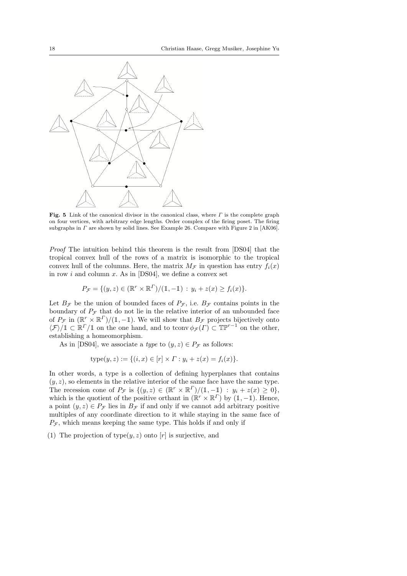

Fig. 5 Link of the canonical divisor in the canonical class, where  $\Gamma$  is the complete graph on four vertices, with arbitrary edge lengths. Order complex of the firing poset. The firing subgraphs in  $\Gamma$  are shown by solid lines. See Example 26. Compare with Figure 2 in [AK06].

Proof The intuition behind this theorem is the result from [DS04] that the tropical convex hull of the rows of a matrix is isomorphic to the tropical convex hull of the columns. Here, the matrix  $M_{\mathcal{F}}$  in question has entry  $f_i(x)$ in row i and column x. As in [DS04], we define a convex set

$$
P_{\mathcal{F}} = \{ (y, z) \in (\mathbb{R}^r \times \mathbb{R}^r) / (\mathbb{1}, -\mathbb{1}) : y_i + z(x) \ge f_i(x) \}.
$$

Let  $B_{\mathcal{F}}$  be the union of bounded faces of  $P_{\mathcal{F}}$ , i.e.  $B_{\mathcal{F}}$  contains points in the boundary of  $P_{\mathcal{F}}$  that do not lie in the relative interior of an unbounded face of  $P_{\mathcal{F}}$  in  $(\mathbb{R}^r \times \mathbb{R}^r)/(1,-1)$ . We will show that  $B_{\mathcal{F}}$  projects bijectively onto  $\langle \mathcal{F} \rangle / \mathbb{1} \subset \mathbb{R}^{\Gamma} / \mathbb{1}$  on the one hand, and to tconv  $\phi_{\mathcal{F}}(F) \subset \mathbb{TP}^{r-1}$  on the other, establishing a homeomorphism.

As in [DS04], we associate a *type* to  $(y, z) \in P_{\mathcal{F}}$  as follows:

$$
type(y, z) := \{ (i, x) \in [r] \times \Gamma : y_i + z(x) = f_i(x) \}.
$$

In other words, a type is a collection of defining hyperplanes that contains  $(y, z)$ , so elements in the relative interior of the same face have the same type. The recession cone of  $P_{\mathcal{F}}$  is  $\{(y, z) \in (\mathbb{R}^r \times \mathbb{R}^r) / (\mathbb{1}, -\mathbb{1}) : y_i + z(x) \geq 0\},\$ which is the quotient of the positive orthant in  $(\mathbb{R}^r \times \mathbb{R}^r)$  by  $(1, -1)$ . Hence, a point  $(y, z) \in P_{\mathcal{F}}$  lies in  $B_{\mathcal{F}}$  if and only if we cannot add arbitrary positive multiples of any coordinate direction to it while staying in the same face of  $P_{\mathcal{F}}$ , which means keeping the same type. This holds if and only if

(1) The projection of type $(y, z)$  onto  $[r]$  is surjective, and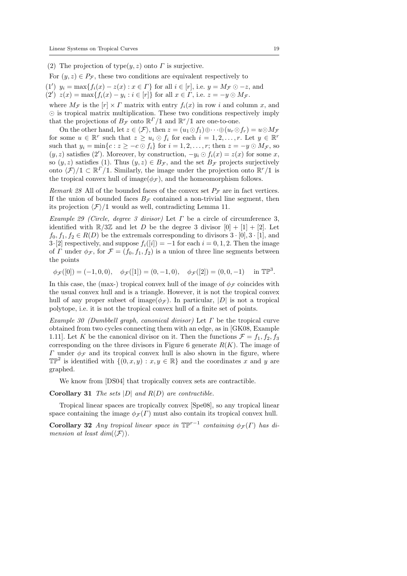(2) The projection of type $(y, z)$  onto  $\Gamma$  is surjective.

For  $(y, z) \in P_{\mathcal{F}}$ , these two conditions are equivalent respectively to

(1')  $y_i = \max\{f_i(x) - z(x) : x \in \Gamma\}$  for all  $i \in [r]$ , i.e.  $y = M_{\mathcal{F}} \odot -z$ , and (2')  $z(x) = \max\{f_i(x) - y_i : i \in [r]\}\$ for all  $x \in \Gamma$ , i.e.  $z = -y \odot M_{\mathcal{F}}$ .

where  $M_{\mathcal{F}}$  is the  $[r] \times \Gamma$  matrix with entry  $f_i(x)$  in row i and column x, and  $\odot$  is tropical matrix multiplication. These two conditions respectively imply that the projections of  $B_{\mathcal{F}}$  onto  $\mathbb{R}^{\Gamma}/\mathbb{1}$  and  $\mathbb{R}^r/\mathbb{1}$  are one-to-one.

On the other hand, let  $z \in \langle \mathcal{F} \rangle$ , then  $z = (u_1 \odot f_1) \oplus \cdots \oplus (u_r \odot f_r) = u \odot M_{\mathcal{F}}$ for some  $u \in \mathbb{R}^r$  such that  $z \geq u_i \odot f_i$  for each  $i = 1, 2, ..., r$ . Let  $y \in \mathbb{R}^r$ such that  $y_i = \min\{c : z \ge -c \odot f_i\}$  for  $i = 1, 2, ..., r$ ; then  $z = -y \odot M_{\mathcal{F}}$ , so  $(y, z)$  satisfies (2'). Moreover, by construction,  $-y_i \odot f_i(x) = z(x)$  for some x, so  $(y, z)$  satisfies (1). Thus  $(y, z) \in B_{\mathcal{F}}$ , and the set  $B_{\mathcal{F}}$  projects surjectively onto  $\langle \mathcal{F} \rangle / \mathbb{1} \subset \mathbb{R}^r / \mathbb{1}$ . Similarly, the image under the projection onto  $\mathbb{R}^r / \mathbb{1}$  is the tropical convex hull of image( $\phi_{\mathcal{F}}$ ), and the homeomorphism follows.

Remark 28 All of the bounded faces of the convex set  $P_{\mathcal{F}}$  are in fact vertices. If the union of bounded faces  $B_{\mathcal{F}}$  contained a non-trivial line segment, then its projection  $\langle \mathcal{F} \rangle / 1$  would as well, contradicting Lemma 11.

Example 29 (Circle, degree 3 divisor) Let  $\Gamma$  be a circle of circumference 3, identified with  $\mathbb{R}/3\mathbb{Z}$  and let D be the degree 3 divisor  $[0] + [1] + [2]$ . Let  $f_0, f_1, f_2 \in R(D)$  be the extremals corresponding to divisors  $3 \cdot [0], 3 \cdot [1],$  and 3·[2] respectively, and suppose  $f_i([i]) = -1$  for each  $i = 0, 1, 2$ . Then the image of Γ under  $\phi_{\mathcal{F}}$ , for  $\mathcal{F} = (f_0, f_1, f_2)$  is a union of three line segments between the points

 $\phi_{\mathcal{F}}([0]) = (-1,0,0), \quad \phi_{\mathcal{F}}([1]) = (0,-1,0), \quad \phi_{\mathcal{F}}([2]) = (0,0,-1) \quad \text{in } \mathbb{TP}^3.$ 

In this case, the (max-) tropical convex hull of the image of  $\phi_{\mathcal{F}}$  coincides with the usual convex hull and is a triangle. However, it is not the tropical convex hull of any proper subset of image( $\phi_{\mathcal{F}}$ ). In particular, |D| is not a tropical polytope, i.e. it is not the tropical convex hull of a finite set of points.

Example 30 (Dumbbell graph, canonical divisor) Let  $\Gamma$  be the tropical curve obtained from two cycles connecting them with an edge, as in [GK08, Example 1.11]. Let K be the canonical divisor on it. Then the functions  $\mathcal{F} = f_1, f_2, f_3$ corresponding on the three divisors in Figure 6 generate  $R(K)$ . The image of Γ under  $φ_$  and its tropical convex hull is also shown in the figure, where  $\mathbb{TP}^2$  is identified with  $\{(0, x, y) : x, y \in \mathbb{R}\}\$ and the coordinates x and y are graphed.

We know from [DS04] that tropically convex sets are contractible.

**Corollary 31** The sets  $|D|$  and  $R(D)$  are contractible.

Tropical linear spaces are tropically convex [Spe08], so any tropical linear space containing the image  $\phi_{\mathcal{F}}(r)$  must also contain its tropical convex hull.

Corollary 32 Any tropical linear space in  $\mathbb{TP}^{r-1}$  containing  $\phi_{\mathcal{F}}(\Gamma)$  has dimension at least  $dim(\langle \mathcal{F} \rangle)$ .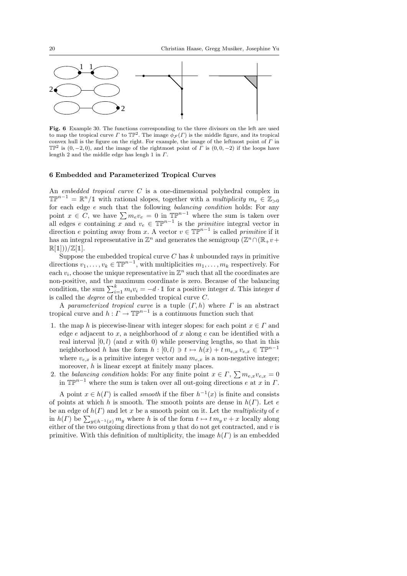

Fig. 6 Example 30. The functions corresponding to the three divisors on the left are used to map the tropical curve  $\Gamma$  to  $\mathbb{TP}^2$ . The image  $\phi_{\mathcal{F}}(\Gamma)$  is the middle figure, and its tropical convex hull is the figure on the right. For example, the image of the leftmost point of  $\Gamma$  in  $\mathbb{TP}^2$  is  $(0, -2, 0)$ , and the image of the rightmost point of  $\Gamma$  is  $(0, 0, -2)$  if the loops have length 2 and the middle edge has lengh 1 in  $\Gamma$ .

#### 6 Embedded and Parameterized Tropical Curves

An embedded tropical curve C is a one-dimensional polyhedral complex in  $\mathbb{TP}^{n-1} = \mathbb{R}^n / \mathbb{1}$  with rational slopes, together with a *multiplicity*  $m_e \in \mathbb{Z}_{>0}$ for each edge e such that the following *balancing condition* holds: For any point  $x \in C$ , we have  $\sum m_e v_e = 0$  in  $\mathbb{TP}^{n-1}$  where the sum is taken over all edges e containing x and  $v_e \in \mathbb{TP}^{n-1}$  is the *primitive* integral vector in direction e pointing away from x. A vector  $v \in \mathbb{TP}^{n-1}$  is called primitive if it has an integral representative in  $\mathbb{Z}^n$  and generates the semigroup  $(\mathbb{Z}^n \cap (\mathbb{R}_{+}v+\mathbb{Z}^n))$  $\mathbb{R}[1]))/\mathbb{Z}[1].$ 

Suppose the embedded tropical curve  $C$  has  $k$  unbounded rays in primitive directions  $v_1, \ldots, v_k \in \mathbb{TP}^{n-1}$ , with multiplicities  $m_1, \ldots, m_k$  respectively. For each  $v_i$ , choose the unique representative in  $\mathbb{Z}^n$  such that all the coordinates are non-positive, and the maximum coordinate is zero. Because of the balancing condition, the sum  $\sum_{i=1}^{k} m_i v_i = -d \cdot 1$  for a positive integer d. This integer d is called the degree of the embedded tropical curve C.

A parameterized tropical curve is a tuple  $(\Gamma, h)$  where  $\Gamma$  is an abstract tropical curve and  $h: \Gamma \to \mathbb{TP}^{n-1}$  is a continuous function such that

- 1. the map h is piecewise-linear with integer slopes: for each point  $x \in \Gamma$  and edge e adjacent to x, a neighborhood of x along e can be identified with a real interval  $[0, l)$  (and x with 0) while preserving lengths, so that in this neighborhood h has the form  $h : [0, l) \ni t \mapsto h(x) + t m_{e,x} v_{e,x} \in \mathbb{TP}^{n-1}$ where  $v_{e,x}$  is a primitive integer vector and  $m_{e,x}$  is a non-negative integer; moreover,  $h$  is linear except at finitely many places.
- 2. the balancing condition holds: For any finite point  $x \in \Gamma$ ,  $\sum m_{e,x}v_{e,x} = 0$ in  $\mathbb{TP}^{n-1}$  where the sum is taken over all out-going directions e at x in  $\Gamma$ .

A point  $x \in h(\Gamma)$  is called *smooth* if the fiber  $h^{-1}(x)$  is finite and consists of points at which h is smooth. The smooth points are dense in  $h(\Gamma)$ . Let e be an edge of  $h(\Gamma)$  and let x be a smooth point on it. Let the multiplicity of e in  $h(\Gamma)$  be  $\sum_{y \in h^{-1}(x)} m_y$  where h is of the form  $t \mapsto t m_y v + x$  locally along either of the two outgoing directions from  $y$  that do not get contracted, and  $v$  is primitive. With this definition of multiplicity, the image  $h(\Gamma)$  is an embedded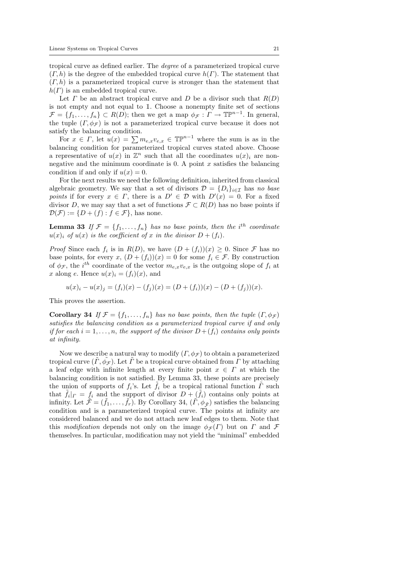tropical curve as defined earlier. The degree of a parameterized tropical curve  $(\Gamma, h)$  is the degree of the embedded tropical curve  $h(\Gamma)$ . The statement that  $(\Gamma, h)$  is a parameterized tropical curve is stronger than the statement that  $h(\Gamma)$  is an embedded tropical curve.

Let  $\Gamma$  be an abstract tropical curve and  $D$  be a divisor such that  $R(D)$ is not empty and not equal to 1. Choose a nonempty finite set of sections  $\mathcal{F} = \{f_1, \ldots, f_n\} \subset R(D)$ ; then we get a map  $\phi_{\mathcal{F}} : \Gamma \to \mathbb{TP}^{n-1}$ . In general, the tuple  $(\Gamma, \phi_{\mathcal{F}})$  is not a parameterized tropical curve because it does not satisfy the balancing condition.

For  $x \in \Gamma$ , let  $u(x) = \sum m_{e,x}v_{e,x} \in \mathbb{TP}^{n-1}$  where the sum is as in the balancing condition for parameterized tropical curves stated above. Choose a representative of  $u(x)$  in  $\mathbb{Z}^n$  such that all the coordinates  $u(x)_i$  are nonnegative and the minimum coordinate is  $0$ . A point x satisfies the balancing condition if and only if  $u(x) = 0$ .

For the next results we need the following definition, inherited from classical algebraic geometry. We say that a set of divisors  $\mathcal{D} = \{D_i\}_{i \in \mathcal{I}}$  has no base points if for every  $x \in \Gamma$ , there is a  $D' \in \mathcal{D}$  with  $D'(x) = 0$ . For a fixed divisor D, we may say that a set of functions  $\mathcal{F} \subset R(D)$  has no base points if  $\mathcal{D}(\mathcal{F}) := \{D + (f) : f \in \mathcal{F}\}\$ , has none.

**Lemma 33** If  $\mathcal{F} = \{f_1, \ldots, f_n\}$  has no base points, then the i<sup>th</sup> coordinate  $u(x)_i$  of  $u(x)$  is the coefficient of x in the divisor  $D + (f_i)$ .

*Proof* Since each  $f_i$  is in  $R(D)$ , we have  $(D + (f_i))(x) \geq 0$ . Since  $\mathcal F$  has no base points, for every x,  $(D+(f_i))(x)=0$  for some  $f_i \in \mathcal{F}$ . By construction of  $\phi_{\mathcal{F}}$ , the i<sup>th</sup> coordinate of the vector  $m_{e,x}v_{e,x}$  is the outgoing slope of  $f_i$  at x along e. Hence  $u(x)_i = (f_i)(x)$ , and

 $u(x)_i - u(x)_j = (f_i)(x) - (f_j)(x) = (D + (f_i))(x) - (D + (f_j))(x).$ 

This proves the assertion.

Corollary 34 If  $\mathcal{F} = \{f_1, \ldots, f_n\}$  has no base points, then the tuple  $(\Gamma, \phi_{\mathcal{F}})$ satisfies the balancing condition as a parameterized tropical curve if and only if for each  $i = 1, \ldots, n$ , the support of the divisor  $D + (f_i)$  contains only points at infinity.

Now we describe a natural way to modify  $(\Gamma, \phi_{\mathcal{F}})$  to obtain a parameterized tropical curve  $(\tilde{\Gamma}, \tilde{\phi}_{\mathcal{F}})$ . Let  $\tilde{\Gamma}$  be a tropical curve obtained from  $\Gamma$  by attaching a leaf edge with infinite length at every finite point  $x \in \Gamma$  at which the balancing condition is not satisfied. By Lemma 33, these points are precisely the union of supports of  $f_i$ 's. Let  $\tilde{f}_i$  be a tropical rational function  $\tilde{\Gamma}$  such that  $\tilde{f}_i|_{\Gamma} = f_i$  and the support of divisor  $D + (\tilde{f}_i)$  contains only points at infinity. Let  $\tilde{\mathcal{F}} = (\tilde{f}_1, \ldots, \tilde{f}_r)$ . By Corollary 34,  $(\tilde{\Gamma}, \phi_{\tilde{\mathcal{F}}})$  satisfies the balancing condition and is a parameterized tropical curve. The points at infinity are considered balanced and we do not attach new leaf edges to them. Note that this modification depends not only on the image  $\phi_{\mathcal{F}}(\Gamma)$  but on  $\Gamma$  and  $\mathcal F$ themselves. In particular, modification may not yield the "minimal" embedded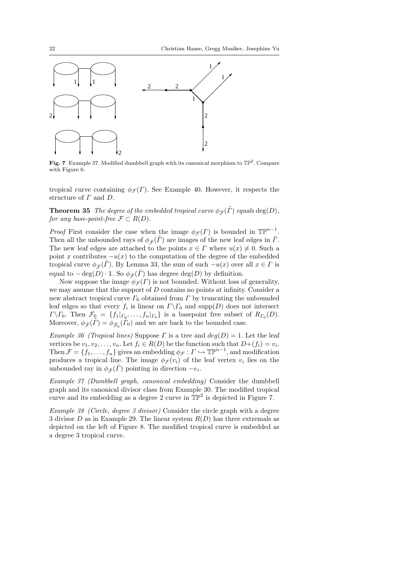

Fig. 7 Example 37. Modified dumbbell graph with its canonical morphism to  $\mathbb{TP}^2$ . Compare with Figure 6.

tropical curve containing  $\phi_{\mathcal{F}}(r)$ . See Example 40. However, it respects the structure of  $\Gamma$  and  $D$ .

**Theorem 35** The degree of the embedded tropical curve  $\phi_{\tilde{\mathcal{F}}}(\tilde{\Gamma})$  equals deg(D), for any base-point-free  $\mathcal{F} \subset R(D)$ .

*Proof* First consider the case when the image  $\phi_{\mathcal{F}}(\Gamma)$  is bounded in  $\mathbb{TP}^{n-1}$ . Then all the unbounded rays of  $\phi_{\tilde{\tau}}(\tilde{\Gamma})$  are images of the new leaf edges in  $\tilde{\Gamma}$ . The new leaf edges are attached to the points  $x \in \Gamma$  where  $u(x) \neq 0$ . Such a point x contributes  $-u(x)$  to the computation of the degree of the embedded tropical curve  $\phi_{\tilde{\mathcal{F}}}(\tilde{\Gamma})$ . By Lemma 33, the sum of such  $-u(x)$  over all  $x \in \Gamma$  is equal to  $-\deg(D) \cdot \mathbb{1}$ . So  $\phi_{\tilde{\mathcal{F}}}(\tilde{\Gamma})$  has degree  $\deg(D)$  by definition.

Now suppose the image  $\phi_{\mathcal{F}}(T)$  is not bounded. Without loss of generality, we may assume that the support of  $D$  contains no points at infinity. Consider a new abstract tropical curve  $\Gamma_0$  obtained from  $\Gamma$  by truncating the unbounded leaf edges so that every  $f_i$  is linear on  $\Gamma \backslash \Gamma_0$  and  $\text{supp}(D)$  does not intersect  $\Gamma \backslash \Gamma_0$ . Then  $\mathcal{F}_0 = \{f_1|_{\Gamma_0}, \ldots, f_n|_{\Gamma_0}\}$  is a basepoint free subset of  $R_{\Gamma_0}(D)$ . Moreover,  $\phi_{\tilde{\mathcal{F}}}(\tilde{\Gamma}) = \phi_{\tilde{\mathcal{F}}_0}(\tilde{\Gamma}_0)$  and we are back to the bounded case.

Example 36 (Tropical lines) Suppose  $\Gamma$  is a tree and  $deg(D) = 1$ . Let the leaf vertices be  $v_1, v_2, \ldots, v_n$ . Let  $f_i \in R(D)$  be the function such that  $D+(f_i) = v_i$ . Then  $\mathcal{F} = \{f_1, \ldots, f_n\}$  gives an embedding  $\phi_{\mathcal{F}} : \Gamma \hookrightarrow \mathbb{TP}^{n-1}$ , and modification produces a tropical line. The image  $\phi_{\mathcal{F}}(v_i)$  of the leaf vertex  $v_i$  lies on the unbounded ray in  $\phi_{\tilde{\mathcal{F}}}(\tilde{\Gamma})$  pointing in direction  $-e_i$ .

Example 37 (Dumbbell graph, canonical embedding) Consider the dumbbell graph and its canonical divisor class from Example 30. The modified tropical curve and its embedding as a degree 2 curve in  $\mathbb{TP}^2$  is depicted in Figure 7.

Example 38 (Circle, degree 3 divisor) Consider the circle graph with a degree 3 divisor D as in Example 29. The linear system  $R(D)$  has three extremals as depicted on the left of Figure 8. The modified tropical curve is embedded as a degree 3 tropical curve.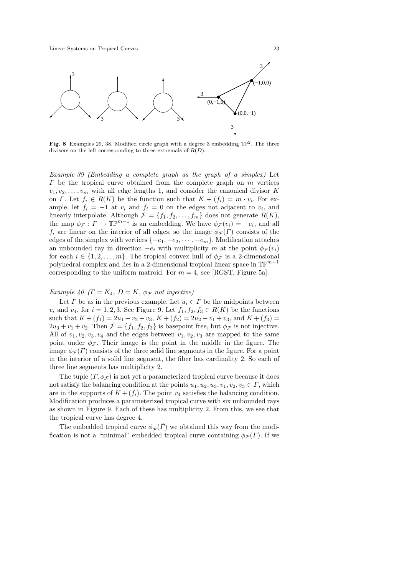

Fig. 8 Examples 29, 38. Modified circle graph with a degree 3 embedding  $\mathbb{TP}^2$ . The three divisors on the left corresponding to three extremals of  $R(D)$ .

Example 39 (Embedding a complete graph as the graph of a simplex) Let  $\Gamma$  be the tropical curve obtained from the complete graph on  $m$  vertices  $v_1, v_2, \ldots, v_m$  with all edge lengths 1, and consider the canonical divisor K on  $\Gamma$ . Let  $f_i \in R(K)$  be the function such that  $K + (f_i) = m \cdot v_i$ . For example, let  $f_i = -1$  at  $v_i$  and  $f_i = 0$  on the edges not adjacent to  $v_i$ , and linearly interpolate. Although  $\mathcal{F} = \{f_1, f_2, \ldots, f_m\}$  does not generate  $R(K)$ , the map  $\phi_{\mathcal{F}}: \Gamma \to \mathbb{TP}^{m-1}$  is an embedding. We have  $\phi_{\mathcal{F}}(v_i) = -e_i$ , and all  $f_i$  are linear on the interior of all edges, so the image  $\phi_{\mathcal{F}}(F)$  consists of the edges of the simplex with vertices  $\{-e_1, -e_2, \dots, -e_m\}$ . Modification attaches an unbounded ray in direction  $-e_i$  with multiplicity m at the point  $\phi_{\mathcal{F}}(v_i)$ for each  $i \in \{1, 2, ..., m\}$ . The tropical convex hull of  $\phi_{\mathcal{F}}$  is a 2-dimensional polyhedral complex and lies in a 2-dimensional tropical linear space in  $\mathbb{TP}^{m-1}$ corresponding to the uniform matroid. For  $m = 4$ , see [RGST, Figure 5a].

# Example 40 ( $\Gamma = K_4$ ,  $D = K$ ,  $\phi_{\mathcal{F}}$  not injective)

Let  $\Gamma$  be as in the previous example. Let  $u_i \in \Gamma$  be the midpoints between  $v_i$  and  $v_4$ , for  $i = 1, 2, 3$ . See Figure 9. Let  $f_1, f_2, f_3 \in R(K)$  be the functions such that  $K + (f_1) = 2u_1 + v_2 + v_3$ ,  $K + (f_2) = 2u_2 + v_1 + v_3$ , and  $K + (f_3) =$  $2u_3 + v_1 + v_2$ . Then  $\mathcal{F} = \{f_1, f_2, f_3\}$  is basepoint free, but  $\phi_{\mathcal{F}}$  is not injective. All of  $v_1, v_2, v_3, v_4$  and the edges between  $v_1, v_2, v_3$  are mapped to the same point under  $\phi_{\mathcal{F}}$ . Their image is the point in the middle in the figure. The image  $\phi_{\mathcal{F}}(r)$  consists of the three solid line segments in the figure. For a point in the interior of a solid line segment, the fiber has cardinality 2. So each of three line segments has multiplicity 2.

The tuple  $(\Gamma, \phi_{\mathcal{F}})$  is not yet a parameterized tropical curve because it does not satisfy the balancing condition at the points  $u_1, u_2, u_3, v_1, v_2, v_3 \in \Gamma$ , which are in the supports of  $K + (f_i)$ . The point  $v_4$  satisfies the balancing condition. Modification produces a parameterized tropical curve with six unbounded rays as shown in Figure 9. Each of these has multiplicity 2. From this, we see that the tropical curve has degree 4.

The embedded tropical curve  $\phi_{\tilde{\mathcal{F}}}(r)$  we obtained this way from the modification is not a "minimal" embedded tropical curve containing  $\phi_{\mathcal{F}}(\Gamma)$ . If we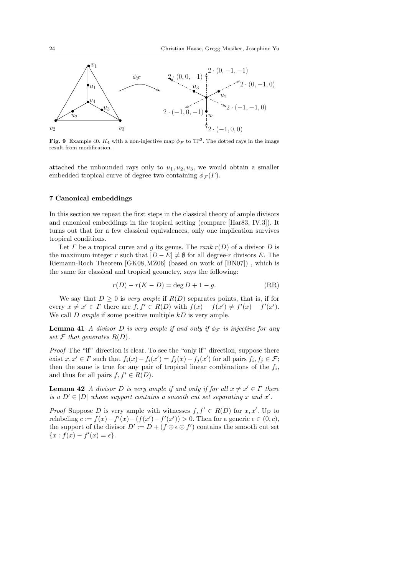

**Fig. 9** Example 40.  $K_4$  with a non-injective map  $\phi_{\mathcal{F}}$  to  $\mathbb{TP}^2$ . The dotted rays in the image result from modification.

attached the unbounded rays only to  $u_1, u_2, u_3$ , we would obtain a smaller embedded tropical curve of degree two containing  $\phi_{\mathcal{F}}(F)$ .

## 7 Canonical embeddings

In this section we repeat the first steps in the classical theory of ample divisors and canonical embeddings in the tropical setting (compare [Har83, IV.3]). It turns out that for a few classical equivalences, only one implication survives tropical conditions.

Let  $\Gamma$  be a tropical curve and g its genus. The rank  $r(D)$  of a divisor  $D$  is the maximum integer r such that  $|D - E| \neq \emptyset$  for all degree-r divisors E. The Riemann-Roch Theorem [GK08,MZ06] (based on work of [BN07]) , which is the same for classical and tropical geometry, says the following:

$$
r(D) - r(K - D) = \deg D + 1 - g.
$$
 (RR)

We say that  $D \geq 0$  is *very ample* if  $R(D)$  separates points, that is, if for every  $x \neq x' \in \Gamma$  there are  $f, f' \in R(D)$  with  $f(x) - f(x') \neq f'(x) - f'(x')$ . We call  $D$  ample if some positive multiple  $kD$  is very ample.

**Lemma 41** A divisor D is very ample if and only if  $\phi_{\mathcal{F}}$  is injective for any set  $\mathcal F$  that generates  $R(D)$ .

Proof The "if" direction is clear. To see the "only if" direction, suppose there exist  $x, x' \in \Gamma$  such that  $f_i(x) - f_i(x') = f_j(x) - f_j(x')$  for all pairs  $f_i, f_j \in \mathcal{F}$ ; then the same is true for any pair of tropical linear combinations of the  $f_i$ , and thus for all pairs  $f, f' \in R(D)$ .

**Lemma 42** A divisor D is very ample if and only if for all  $x \neq x' \in \Gamma$  there is a  $D' \in |D|$  whose support contains a smooth cut set separating x and x'.

*Proof* Suppose D is very ample with witnesses  $f, f' \in R(D)$  for  $x, x'$ . Up to relabeling  $c := f(x) - f'(x) - (f(x') - f'(x')) > 0$ . Then for a generic  $\epsilon \in (0, c)$ , the support of the divisor  $D' := D + (f \oplus \epsilon \odot f')$  contains the smooth cut set  ${x : f(x) - f'(x) = \epsilon}.$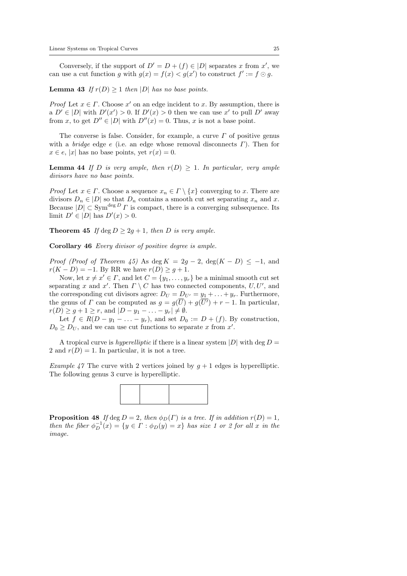Conversely, if the support of  $D' = D + (f) \in |D|$  separates x from x', we can use a cut function g with  $g(x) = f(x) < g(x')$  to construct  $f' := f \odot g$ .

**Lemma 43** If  $r(D) \ge 1$  then |D| has no base points.

*Proof* Let  $x \in \Gamma$ . Choose  $x'$  on an edge incident to x. By assumption, there is a  $D' \in |D|$  with  $D'(x') > 0$ . If  $D'(x) > 0$  then we can use x' to pull  $D'$  away from x, to get  $D'' \in |D|$  with  $D''(x) = 0$ . Thus, x is not a base point.

The converse is false. Consider, for example, a curve  $\Gamma$  of positive genus with a *bridge* edge e (i.e. an edge whose removal disconnects  $\Gamma$ ). Then for  $x \in e$ , |x| has no base points, yet  $r(x) = 0$ .

**Lemma 44** If D is very ample, then  $r(D) \geq 1$ . In particular, very ample divisors have no base points.

*Proof* Let  $x \in \Gamma$ . Choose a sequence  $x_n \in \Gamma \setminus \{x\}$  converging to x. There are divisors  $D_n \in |D|$  so that  $D_n$  contains a smooth cut set separating  $x_n$  and  $x$ . Because  $|D| \subset \text{Sym}^{\text{deg } D} \Gamma$  is compact, there is a converging subsequence. Its limit  $D' \in |D|$  has  $D'(x) > 0$ .

**Theorem 45** If deg  $D > 2q + 1$ , then D is very ample.

Corollary 46 Every divisor of positive degree is ample.

*Proof (Proof of Theorem 45)* As deg  $K = 2g - 2$ , deg( $K - D$ )  $\leq -1$ , and  $r(K - D) = -1$ . By RR we have  $r(D) \geq g + 1$ .

Now, let  $x \neq x' \in \Gamma$ , and let  $C = \{y_1, \ldots, y_r\}$  be a minimal smooth cut set separating x and x'. Then  $\Gamma \setminus C$  has two connected components,  $U, U'$ , and the corresponding cut divisors agree:  $D_U = D_{U'} = y_1 + \ldots + y_r$ . Furthermore, the genus of  $\Gamma$  can be computed as  $g = g(\overline{U}) + g(\overline{U'}) + r - 1$ . In particular,  $r(D) \geq g+1 \geq r$ , and  $|D-y_1-\ldots-y_r| \neq \emptyset$ .

Let  $f \in R(D - y_1 - \ldots - y_r)$ , and set  $D_0 := D + (f)$ . By construction,  $D_0 \geq D_U$ , and we can use cut functions to separate x from x'.

A tropical curve is *hyperelliptic* if there is a linear system  $|D|$  with deg  $D =$ 2 and  $r(D) = 1$ . In particular, it is not a tree.

Example 47 The curve with 2 vertices joined by  $q + 1$  edges is hyperelliptic. The following genus 3 curve is hyperelliptic.



**Proposition 48** If deg  $D = 2$ , then  $\phi_D(\Gamma)$  is a tree. If in addition  $r(D) = 1$ , then the fiber  $\phi_D^{-1}(x) = \{y \in \Gamma : \phi_D(y) = x\}$  has size 1 or 2 for all x in the image.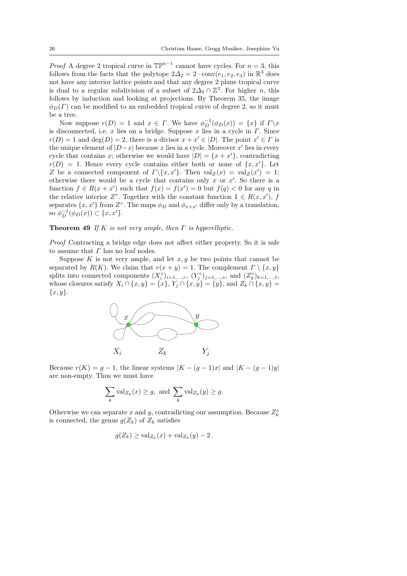*Proof* A degree 2 tropical curve in  $\mathbb{TP}^{n-1}$  cannot have cycles. For  $n = 3$ , this follows from the facts that the polytope  $2\Delta_2 = 2 \cdot \text{conv}(e_1, e_2, e_3)$  in  $\mathbb{R}^3$  does not have any interior lattice points and that any degree 2 plane tropical curve is dual to a regular subdivision of a subset of  $2\Delta_2 \cap \mathbb{Z}^3$ . For higher n, this follows by induction and looking at projections. By Theorem 35, the image  $\phi_D(\Gamma)$  can be modified to an embedded tropical curve of degree 2, so it must be a tree.

Now suppose  $r(D) = 1$  and  $x \in \Gamma$ . We have  $\phi_D^{-1}(\phi_D(x)) = \{x\}$  if  $\Gamma \backslash x$ is disconnected, i.e. x lies on a bridge. Suppose x lies in a cycle in  $\Gamma$ . Since  $r(D) = 1$  and  $\deg(D) = 2$ , there is a divisor  $x + x' \in |D|$ . The point  $x' \in \Gamma$  is the unique element of  $|D-x|$  because x lies in a cycle. Moreover x' lies in every cycle that contains x; otherwise we would have  $|D| = \{x + x\}$ , contradicting  $r(D) = 1$ . Hence every cycle contains either both or none of  $\{x, x'\}$ . Let Z be a connected component of  $\Gamma \backslash \{x, x'\}$ . Then  $\operatorname{val}_Z(x) = \operatorname{val}_Z(x') = 1$ ; otherwise there would be a cycle that contains only  $x$  or  $x'$ . So there is a function  $f \in R(x + x')$  such that  $f(x) = f(x') = 0$  but  $f(q) < 0$  for any q in the relative interior  $Z^{\circ}$ . Together with the constant function  $1 \in R(x, x')$ , f separates  $\{x, x'\}$  from  $Z^{\circ}$ . The maps  $\phi_D$  and  $\phi_{x+x'}$  differ only by a translation, so  $\phi_D^{-1}(\phi_D(x)) \subset \{x, x'\}.$ 

## **Theorem 49** If K is not very ample, then  $\Gamma$  is hyperelliptic.

Proof Contracting a bridge edge does not affect either property. So it is safe to assume that  $\Gamma$  has no leaf nodes.

Suppose  $K$  is not very ample, and let  $x, y$  be two points that cannot be separated by  $R(K)$ . We claim that  $r(x + y) = 1$ . The complement  $\Gamma \setminus \{x, y\}$ splits into connected components  $(X_i^{\circ})_{i=1,\dots,r}$ ,  $(Y_j^{\circ})_{j=1,\dots,s}$ , and  $(Z_k^{\circ})_{k=1,\dots,t}$ , whose closures satisfy  $X_i \cap \{x, y\} = \{x\}, Y_j \cap \{x, y\} = \{y\}$ , and  $Z_k \cap \{x, y\} =$  ${x, y}.$ 



Because  $r(K) = g - 1$ , the linear systems  $|K - (g - 1)x|$  and  $|K - (g - 1)y|$ are non-empty. Thus we must have

$$
\sum_{k} \operatorname{val}_{Z_k}(x) \ge g, \text{ and } \sum_{k} \operatorname{val}_{Z_k}(y) \ge g.
$$

Otherwise we can separate x and y, contradicting our assumption. Because  $Z_k^{\circ}$ is connected, the genus  $g(Z_k)$  of  $Z_k$  satisfies

$$
g(Z_k) \geq \operatorname{val}_{Z_k}(x) + \operatorname{val}_{Z_k}(y) - 2.
$$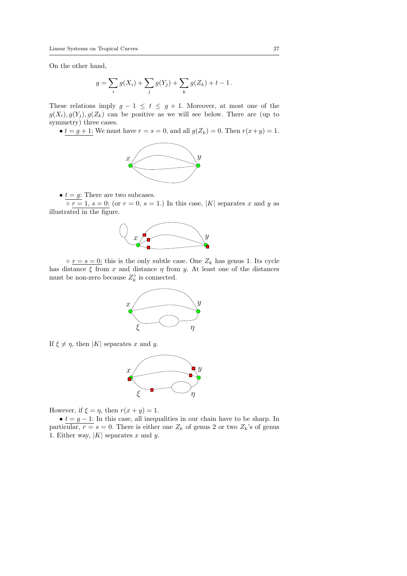On the other hand,

$$
g = \sum_{i} g(X_i) + \sum_{j} g(Y_j) + \sum_{k} g(Z_k) + t - 1.
$$

These relations imply  $g - 1 \le t \le g + 1$ . Moreover, at most one of the  $g(X_i), g(Y_j), g(Z_k)$  can be positive as we will see below. There are (up to symmetry) three cases.

•  $t = g + 1$ : We must have  $r = s = 0$ , and all  $g(Z_k) = 0$ . Then  $r(x+y) = 1$ .



•  $t = g$ : There are two subcases.

 $\overline{\circ r} = 1, s = 0$ : (or  $r = 0, s = 1$ .) In this case, |K| separates x and y as illustrated in the figure.



 $\circ$   $r = s = 0$ : this is the only subtle case. One  $Z_k$  has genus 1. Its cycle has distance  $\xi$  from x and distance  $\eta$  from y. At least one of the distances must be non-zero because  $Z_k^{\circ}$  is connected.



If  $\xi \neq \eta$ , then |K| separates x and y.



However, if  $\xi = \eta$ , then  $r(x + y) = 1$ .

•  $t = g - 1$ : In this case, all inequalities in our chain have to be sharp. In particular,  $r = s = 0$ . There is either one  $Z_k$  of genus 2 or two  $Z_k$ 's of genus 1. Either way,  $|K|$  separates x and y.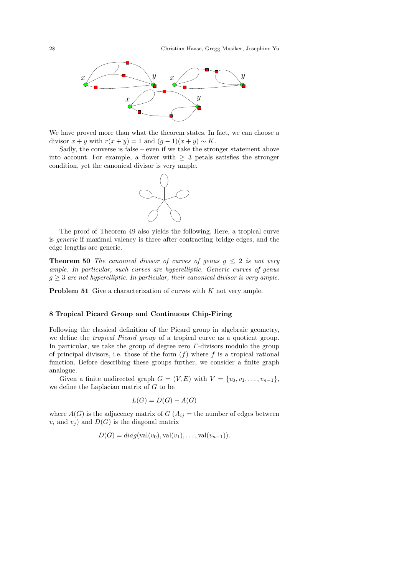

We have proved more than what the theorem states. In fact, we can choose a divisor  $x + y$  with  $r(x + y) = 1$  and  $(q - 1)(x + y) \sim K$ .

Sadly, the converse is false – even if we take the stronger statement above into account. For example, a flower with  $\geq 3$  petals satisfies the stronger condition, yet the canonical divisor is very ample.



The proof of Theorem 49 also yields the following. Here, a tropical curve is generic if maximal valency is three after contracting bridge edges, and the edge lengths are generic.

**Theorem 50** The canonical divisor of curves of genus  $g \leq 2$  is not very ample. In particular, such curves are hyperelliptic. Generic curves of genus  $g \geq 3$  are not hyperelliptic. In particular, their canonical divisor is very ample.

**Problem 51** Give a characterization of curves with  $K$  not very ample.

## 8 Tropical Picard Group and Continuous Chip-Firing

Following the classical definition of the Picard group in algebraic geometry, we define the tropical Picard group of a tropical curve as a quotient group. In particular, we take the group of degree zero  $\Gamma$ -divisors modulo the group of principal divisors, i.e. those of the form  $(f)$  where f is a tropical rational function. Before describing these groups further, we consider a finite graph analogue.

Given a finite undirected graph  $G = (V, E)$  with  $V = \{v_0, v_1, \ldots, v_{n-1}\},\$ we define the Laplacian matrix of G to be

$$
L(G) = D(G) - A(G)
$$

where  $A(G)$  is the adjacency matrix of  $G(A_{ij})$  = the number of edges between  $v_i$  and  $v_j$ ) and  $D(G)$  is the diagonal matrix

$$
D(G) = diag(\text{val}(v_0), \text{val}(v_1), \dots, \text{val}(v_{n-1})).
$$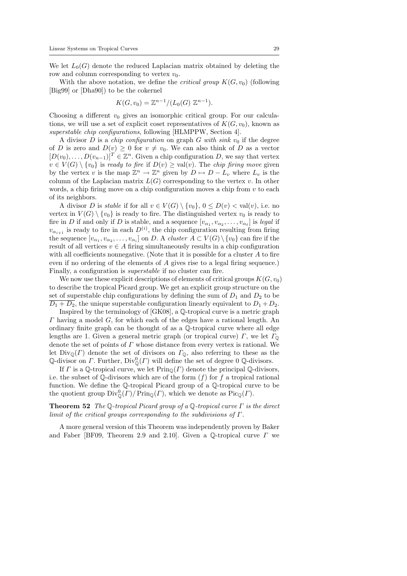We let  $L_0(G)$  denote the reduced Laplacian matrix obtained by deleting the row and column corresponding to vertex  $v_0$ .

With the above notation, we define the *critical group*  $K(G, v_0)$  (following [Big99] or [Dha90]) to be the cokernel

$$
K(G, v_0) = \mathbb{Z}^{n-1}/(L_0(G) \mathbb{Z}^{n-1}).
$$

Choosing a different  $v_0$  gives an isomorphic critical group. For our calculations, we will use a set of explicit coset representatives of  $K(G, v_0)$ , known as superstable chip configurations, following [HLMPPW, Section 4].

A divisor D is a *chip configuration* on graph G with sink  $v_0$  if the degree of D is zero and  $D(v) \geq 0$  for  $v \neq v_0$ . We can also think of D as a vector  $[D(v_0), \ldots, D(v_{n-1})]^T \in \mathbb{Z}^n$ . Given a chip configuration D, we say that vertex  $v \in V(G) \setminus \{v_0\}$  is ready to fire if  $D(v) \geq \text{val}(v)$ . The chip firing move given by the vertex v is the map  $\mathbb{Z}^n \to \mathbb{Z}^n$  given by  $D \mapsto D - L_v$  where  $L_v$  is the column of the Laplacian matrix  $L(G)$  corresponding to the vertex v. In other words, a chip firing move on a chip configuration moves a chip from  $v$  to each of its neighbors.

A divisor D is stable if for all  $v \in V(G) \setminus \{v_0\}$ ,  $0 \leq D(v) < \text{val}(v)$ , i.e. no vertex in  $V(G) \setminus \{v_0\}$  is ready to fire. The distinguished vertex  $v_0$  is ready to fire in D if and only if D is stable, and a sequence  $[v_{\alpha_1}, v_{\alpha_2}, \ldots, v_{\alpha_\ell}]$  is legal if  $v_{\alpha_{i+1}}$  is ready to fire in each  $D^{(i)}$ , the chip configuration resulting from firing the sequence  $[v_{\alpha_1}, v_{\alpha_2}, \ldots, v_{\alpha_i}]$  on D. A cluster  $A \subset V(G) \setminus \{v_0\}$  can fire if the result of all vertices  $v \in A$  firing simultaneously results in a chip configuration with all coefficients nonnegative. (Note that it is possible for a cluster  $A$  to fire even if no ordering of the elements of A gives rise to a legal firing sequence.) Finally, a configuration is superstable if no cluster can fire.

We now use these explicit descriptions of elements of critical groups  $K(G, v_0)$ to describe the tropical Picard group. We get an explicit group structure on the set of superstable chip configurations by defining the sum of  $D_1$  and  $D_2$  to be  $\overline{D_1 + D_2}$ , the unique superstable configuration linearly equivalent to  $D_1 + D_2$ .

Inspired by the terminology of [GK08], a Q-tropical curve is a metric graph Γ having a model G, for which each of the edges have a rational length. An ordinary finite graph can be thought of as a Q-tropical curve where all edge lengths are 1. Given a general metric graph (or tropical curve)  $\Gamma$ , we let  $\Gamma$ <sub> $\odot$ </sub> denote the set of points of  $\Gamma$  whose distance from every vertex is rational. We let  $Div_{\mathbb{Q}}(\Gamma)$  denote the set of divisors on  $\Gamma_{\mathbb{Q}}$ , also referring to these as the Q-divisor on  $\Gamma$ . Further,  $\text{Div}_{\mathbb{Q}}^0(\Gamma)$  will define the set of degree 0 Q-divisors.

If  $\Gamma$  is a Q-tropical curve, we let  $\text{Prin}_{\mathbb{Q}}(\Gamma)$  denote the principal Q-divisors, i.e. the subset of Q-divisors which are of the form  $(f)$  for f a tropical rational function. We define the Q-tropical Picard group of a Q-tropical curve to be the quotient group  $\text{Div}_{\mathbb{Q}}^{0}(T)/\text{Prin}_{\mathbb{Q}}(T)$ , which we denote as  $\text{Pic}_{\mathbb{Q}}(T)$ .

# **Theorem 52** The Q-tropical Picard group of a Q-tropical curve  $\Gamma$  is the direct limit of the critical groups corresponding to the subdivisions of  $\Gamma$ .

A more general version of this Theorem was independently proven by Baker and Faber [BF09, Theorem 2.9 and 2.10]. Given a  $\mathbb{Q}\text{-tropical curve } \Gamma$  we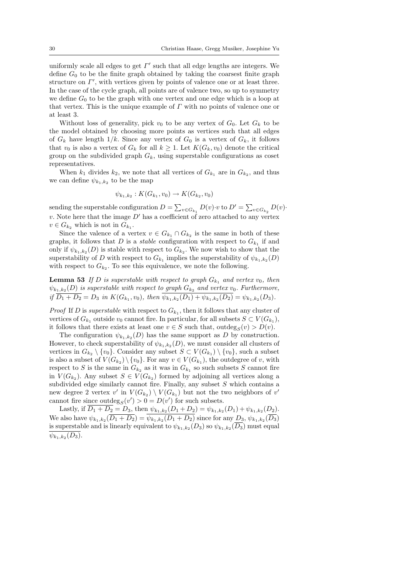uniformly scale all edges to get  $\Gamma'$  such that all edge lengths are integers. We define  $G_0$  to be the finite graph obtained by taking the coarsest finite graph structure on  $\Gamma'$ , with vertices given by points of valence one or at least three. In the case of the cycle graph, all points are of valence two, so up to symmetry we define  $G_0$  to be the graph with one vertex and one edge which is a loop at that vertex. This is the unique example of  $\Gamma$  with no points of valence one or at least 3.

Without loss of generality, pick  $v_0$  to be any vertex of  $G_0$ . Let  $G_k$  to be the model obtained by choosing more points as vertices such that all edges of  $G_k$  have length  $1/k$ . Since any vertex of  $G_0$  is a vertex of  $G_k$ , it follows that  $v_0$  is also a vertex of  $G_k$  for all  $k \geq 1$ . Let  $K(G_k, v_0)$  denote the critical group on the subdivided graph  $G_k$ , using superstable configurations as coset representatives.

When  $k_1$  divides  $k_2$ , we note that all vertices of  $G_{k_1}$  are in  $G_{k_2}$ , and thus we can define  $\psi_{k_1,k_2}$  to be the map

$$
\psi_{k_1,k_2}: K(G_{k_1},v_0) \to K(G_{k_2},v_0)
$$

sending the superstable configuration  $D = \sum_{v \in G_{k_1}} D(v) \cdot v$  to  $D' = \sum_{v \in G_{k_2}} D(v) \cdot v$ v. Note here that the image  $D'$  has a coefficient of zero attached to any vertex  $v \in G_{k_2}$  which is not in  $G_{k_1}$ .

Since the valence of a vertex  $v \in G_{k_1} \cap G_{k_2}$  is the same in both of these graphs, it follows that D is a *stable* configuration with respect to  $G_{k_1}$  if and only if  $\psi_{k_1,k_2}(D)$  is stable with respect to  $G_{k_2}$ . We now wish to show that the superstability of D with respect to  $G_{k_1}$  implies the superstability of  $\psi_{k_1,k_2}(D)$ with respect to  $G_{k_2}$ . To see this equivalence, we note the following.

**Lemma 53** If D is superstable with respect to graph  $G_{k_1}$  and vertex  $v_0$ , then  $\psi_{k_1,k_2}(D)$  is superstable with respect to graph  $G_{k_2}$  and vertex  $v_0$ . Furthermore, if  $D_1 + D_2 = D_3$  in  $K(G_{k_1}, v_0)$ , then  $\psi_{k_1, k_2}(D_1) + \psi_{k_1, k_2}(D_2) = \psi_{k_1, k_2}(D_3)$ .

*Proof* If D is superstable with respect to  $G_{k_1}$ , then it follows that any cluster of vertices of  $G_{k_1}$  outside  $v_0$  cannot fire. In particular, for all subsets  $S \subset V(G_{k_1}),$ it follows that there exists at least one  $v \in S$  such that, outdeg<sub>S</sub>(v) > D(v).

The configuration  $\psi_{k_1,k_2}(D)$  has the same support as D by construction. However, to check superstability of  $\psi_{k_1,k_2}(D)$ , we must consider all clusters of vertices in  $G_{k_2} \setminus \{v_0\}$ . Consider any subset  $S \subset V(G_{k_1}) \setminus \{v_0\}$ , such a subset is also a subset of  $V(G_{k_2}) \setminus \{v_0\}$ . For any  $v \in V(G_{k_1})$ , the outdegree of v, with respect to S is the same in  $G_{k_2}$  as it was in  $G_{k_1}$  so such subsets S cannot fire in  $V(G_{k_2})$ . Any subset  $S \in V(G_{k_2})$  formed by adjoining all vertices along a subdivided edge similarly cannot fire. Finally, any subset  $S$  which contains a new degree 2 vertex  $v'$  in  $V(G_{k_2}) \setminus V(G_{k_1})$  but not the two neighbors of  $v'$ cannot fire since outdeg<sub>S</sub> $(v') > 0 = D(v')$  for such subsets.

Lastly, if  $D_1 + D_2 = D_3$ , then  $\psi_{k_1,k_2}(D_1 + D_2) = \psi_{k_1,k_2}(D_1) + \psi_{k_1,k_2}(D_2)$ . We also have  $\psi_{k_1,k_2}(D_1+D_2) = \psi_{k_1,k_2}(D_1+D_2)$  since for any  $D_3, \psi_{k_1,k_2}(D_3)$ is superstable and is linearly equivalent to  $\psi_{k_1,k_2}(D_3)$  so  $\psi_{k_1,k_2}(D_3)$  must equal  $\psi_{k_1,k_2}(D_3)$ .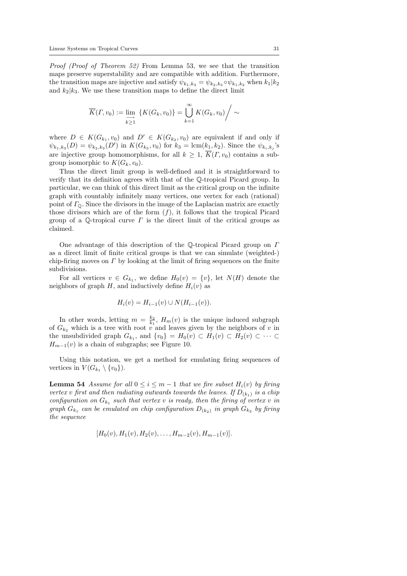Proof (Proof of Theorem 52) From Lemma 53, we see that the transition maps preserve superstability and are compatible with addition. Furthermore, the transition maps are injective and satisfy  $\psi_{k_1,k_3} = \psi_{k_2,k_3} \circ \psi_{k_1,k_2}$  when  $k_1 | k_2$ and  $k_2|k_3$ . We use these transition maps to define the direct limit

$$
\overline{K}(\Gamma, v_0) := \lim_{\substack{\longrightarrow \\ k \ge 1}} \left\{ K(G_k, v_0) \right\} = \bigcup_{k=1}^{\infty} K(G_k, v_0) / \sim
$$

where  $D \in K(G_{k_1}, v_0)$  and  $D' \in K(G_{k_2}, v_0)$  are equivalent if and only if  $\psi_{k_1,k_3}(D) = \psi_{k_2,k_3}(D')$  in  $K(G_{k_3}, v_0)$  for  $k_3 = \text{lcm}(k_1,k_2)$ . Since the  $\psi_{k_i,k_j}$ 's are injective group homomorphisms, for all  $k \geq 1$ ,  $\overline{K}(T, v_0)$  contains a subgroup isomorphic to  $K(G_k, v_0)$ .

Thus the direct limit group is well-defined and it is straightforward to verify that its definition agrees with that of the Q-tropical Picard group. In particular, we can think of this direct limit as the critical group on the infinite graph with countably infinitely many vertices, one vertex for each (rational) point of  $\Gamma_{\mathbb{Q}}$ . Since the divisors in the image of the Laplacian matrix are exactly those divisors which are of the form  $(f)$ , it follows that the tropical Picard group of a Q-tropical curve  $\Gamma$  is the direct limit of the critical groups as claimed.

One advantage of this description of the Q-tropical Picard group on Γ as a direct limit of finite critical groups is that we can simulate (weighted-) chip-firing moves on  $\Gamma$  by looking at the limit of firing sequences on the finite subdivisions.

For all vertices  $v \in G_{k_1}$ , we define  $H_0(v) = \{v\}$ , let  $N(H)$  denote the neighbors of graph H, and inductively define  $H_i(v)$  as

$$
H_i(v) = H_{i-1}(v) \cup N(H_{i-1}(v)).
$$

In other words, letting  $m = \frac{k_2}{k_1}$ ,  $H_m(v)$  is the unique induced subgraph of  $G_{k_2}$  which is a tree with root v and leaves given by the neighbors of v in the unsubdivided graph  $G_{k_1}$ , and  $\{v_0\} = H_0(v) \subset H_1(v) \subset H_2(v) \subset \cdots \subset$  $H_{m-1}(v)$  is a chain of subgraphs; see Figure 10.

Using this notation, we get a method for emulating firing sequences of vertices in  $V(G_{k_1} \setminus \{v_0\}).$ 

**Lemma 54** Assume for all  $0 \le i \le m-1$  that we fire subset  $H_i(v)$  by firing vertex v first and then radiating outwards towards the leaves. If  $D_{(k_1)}$  is a chip configuration on  $G_{k_1}$  such that vertex v is ready, then the firing of vertex v in graph  $G_{k_1}$  can be emulated on chip configuration  $D_{(k_2)}$  in graph  $G_{k_2}$  by firing the sequence

$$
[H_0(v), H_1(v), H_2(v), \ldots, H_{m-2}(v), H_{m-1}(v)].
$$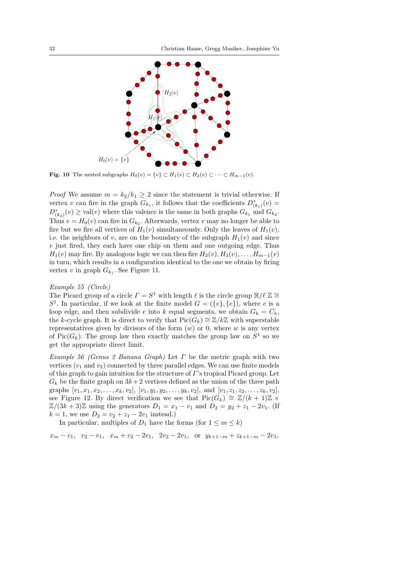

**Fig. 10** The nested subgraphs  $H_0(v) = \{v\} \subset H_1(v) \subset H_2(v) \subset \cdots \subset H_{m-1}(v)$ .

*Proof* We assume  $m = k_2/k_1 \geq 2$  since the statement is trivial otherwise. If vertex v can fire in the graph  $G_{k_1}$ , it follows that the coefficients  $D^*_{(k_1)}(v) =$  $D^*_{(k_2)}(v) \geq \text{val}(v)$  where this valence is the same in both graphs  $G_{k_1}$  and  $G_{k_2}$ . Thus  $v = H_0(v)$  can fire in  $G_{k_2}$ . Afterwards, vertex v may no longer be able to fire but we fire all vertices of  $H_1(v)$  simultaneously. Only the leaves of  $H_1(v)$ , i.e. the neighbors of v, are on the boundary of the subgraph  $H_1(v)$  and since  $v$  just fired, they each have one chip on them and one outgoing edge. Thus  $H_1(v)$  may fire. By analogous logic we can then fire  $H_2(v)$ ,  $H_3(v)$ , ...,  $H_{m-1}(v)$ in turn, which results in a configuration identical to the one we obtain by firing vertex v in graph  $G_{k_1}$ . See Figure 11.

#### Example 55 (Circle)

The Picard group of a circle  $\Gamma = S^1$  with length  $\ell$  is the circle group  $\mathbb{R}/\ell \mathbb{Z} \cong$  $S^1$ . In particular, if we look at the finite model  $G = (\{v\}, \{e\})$ , where e is a loop edge, and then subdivide e into k equal segments, we obtain  $G_k = C_k$ , the k-cycle graph. It is direct to verify that  $Pic(G_k) \cong \mathbb{Z}/k\mathbb{Z}$  with superstable representatives given by divisors of the form  $(w)$  or 0, where w is any vertex of Pic( $G_k$ ). The group law then exactly matches the group law on  $S^1$  so we get the appropriate direct limit.

Example 56 (Genus 2 Banana Graph) Let  $\Gamma$  be the metric graph with two vertices  $(v_1 \text{ and } v_2)$  connected by three parallel edges. We can use finite models of this graph to gain intuition for the structure of  $\Gamma$ 's tropical Picard group. Let  $G_k$  be the finite graph on  $3k+2$  vertices defined as the union of the three path graphs  $[v_1, x_1, x_2, \ldots, x_k, v_2], [v_1, y_1, y_2, \ldots, y_k, v_2],$  and  $[v_1, z_1, z_2, \ldots, z_k, v_2],$ see Figure 12. By direct verification we see that  $Pic(G_k) \cong \mathbb{Z}/(k+1)\mathbb{Z} \times$  $\mathbb{Z}/(3k+3)\mathbb{Z}$  using the generators  $D_1 = x_1 - v_1$  and  $D_2 = y_2 + z_1 - 2v_1$ . (If  $k = 1$ , we use  $D_2 = v_2 + z_1 - 2v_1$  instead.)

In particular, multiples of  $D_1$  have the forms (for  $1 \leq m \leq k$ )

 $x_m - v_1$ ,  $v_2 - v_1$ ,  $x_m + v_2 - 2v_1$ ,  $2v_2 - 2v_1$ , or  $y_{k+1-m} + z_{k+1-m} - 2v_1$ ,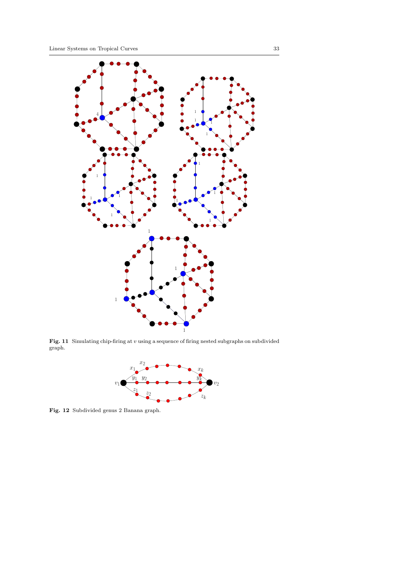

Fig. 11 Simulating chip-firing at  $v$  using a sequence of firing nested subgraphs on subdivided graph.



Fig. 12 Subdivided genus 2 Banana graph.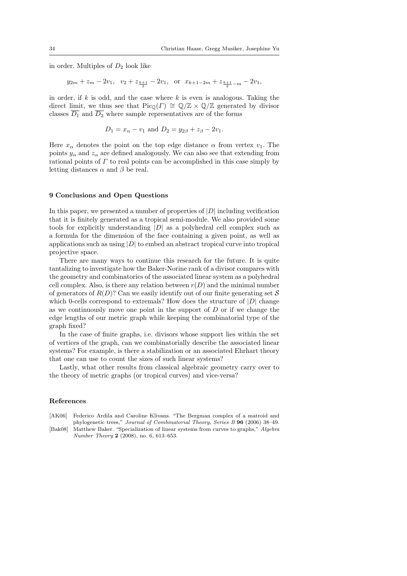in order. Multiples of  $D_2$  look like

$$
y_{2m} + z_m - 2v_1
$$
,  $v_2 + z_{\frac{k+1}{2}} - 2v_1$ , or  $x_{k+1-2m} + z_{\frac{k+1}{2}-m} - 2v_1$ ,

in order, if  $k$  is odd, and the case where  $k$  is even is analogous. Taking the direct limit, we thus see that  $Pic_{\mathbb{Q}}(F) \cong \mathbb{Q}/\mathbb{Z} \times \mathbb{Q}/\mathbb{Z}$  generated by divisor classes  $\overline{D_1}$  and  $\overline{D_2}$  where sample representatives are of the forms

$$
D_1 = x_\alpha - v_1
$$
 and  $D_2 = y_{2\beta} + z_\beta - 2v_1$ .

Here  $x_{\alpha}$  denotes the point on the top edge distance  $\alpha$  from vertex  $v_1$ . The points  $y_{\alpha}$  and  $z_{\alpha}$  are defined analogously. We can also see that extending from rational points of  $\Gamma$  to real points can be accomplished in this case simply by letting distances  $\alpha$  and  $\beta$  be real.

#### 9 Conclusions and Open Questions

In this paper, we presented a number of properties of  $|D|$  including verification that it is finitely generated as a tropical semi-module. We also provided some tools for explicitly understanding  $|D|$  as a polyhedral cell complex such as a formula for the dimension of the face containing a given point, as well as applications such as using  $|D|$  to embed an abstract tropical curve into tropical projective space.

There are many ways to continue this research for the future. It is quite tantalizing to investigate how the Baker-Norine rank of a divisor compares with the geometry and combinatorics of the associated linear system as a polyhedral cell complex. Also, is there any relation between  $r(D)$  and the minimal number of generators of  $R(D)$ ? Can we easily identify out of our finite generating set S which 0-cells correspond to extremals? How does the structure of  $|D|$  change as we continuously move one point in the support of  $D$  or if we change the edge lengths of our metric graph while keeping the combinatorial type of the graph fixed?

In the case of finite graphs, i.e. divisors whose support lies within the set of vertices of the graph, can we combinatorially describe the associated linear systems? For example, is there a stabilization or an associated Ehrhart theory that one can use to count the sizes of such linear systems?

Lastly, what other results from classical algebraic geometry carry over to the theory of metric graphs (or tropical curves) and vice-versa?

## References

[AK06] Federico Ardila and Caroline Klivans. "The Bergman complex of a matroid and phylogenetic trees," Journal of Combinatorial Theory, Series B 96 (2006) 38–49. [Bak08] Matthew Baker. "Specialization of linear systems from curves to graphs," Algebra

Number Theory 2 (2008), no. 6, 613–653.